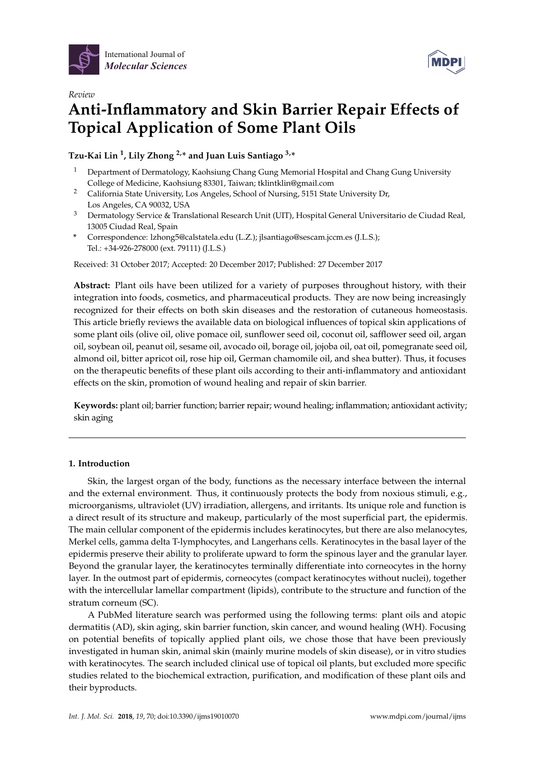

*Review*



# **Anti-Inflammatory and Skin Barrier Repair Effects of Topical Application of Some Plant Oils**

## **Tzu-Kai Lin <sup>1</sup> , Lily Zhong 2,\* and Juan Luis Santiago 3,\***

- <sup>1</sup> Department of Dermatology, Kaohsiung Chang Gung Memorial Hospital and Chang Gung University College of Medicine, Kaohsiung 83301, Taiwan; tklintklin@gmail.com
- <sup>2</sup> California State University, Los Angeles, School of Nursing, 5151 State University Dr, Los Angeles, CA 90032, USA
- <sup>3</sup> Dermatology Service & Translational Research Unit (UIT), Hospital General Universitario de Ciudad Real, 13005 Ciudad Real, Spain
- **\*** Correspondence: lzhong5@calstatela.edu (L.Z.); jlsantiago@sescam.jccm.es (J.L.S.); Tel.: +34-926-278000 (ext. 79111) (J.L.S.)

Received: 31 October 2017; Accepted: 20 December 2017; Published: 27 December 2017

**Abstract:** Plant oils have been utilized for a variety of purposes throughout history, with their integration into foods, cosmetics, and pharmaceutical products. They are now being increasingly recognized for their effects on both skin diseases and the restoration of cutaneous homeostasis. This article briefly reviews the available data on biological influences of topical skin applications of some plant oils (olive oil, olive pomace oil, sunflower seed oil, coconut oil, safflower seed oil, argan oil, soybean oil, peanut oil, sesame oil, avocado oil, borage oil, jojoba oil, oat oil, pomegranate seed oil, almond oil, bitter apricot oil, rose hip oil, German chamomile oil, and shea butter). Thus, it focuses on the therapeutic benefits of these plant oils according to their anti-inflammatory and antioxidant effects on the skin, promotion of wound healing and repair of skin barrier.

**Keywords:** plant oil; barrier function; barrier repair; wound healing; inflammation; antioxidant activity; skin aging

## **1. Introduction**

Skin, the largest organ of the body, functions as the necessary interface between the internal and the external environment. Thus, it continuously protects the body from noxious stimuli, e.g., microorganisms, ultraviolet (UV) irradiation, allergens, and irritants. Its unique role and function is a direct result of its structure and makeup, particularly of the most superficial part, the epidermis. The main cellular component of the epidermis includes keratinocytes, but there are also melanocytes, Merkel cells, gamma delta T-lymphocytes, and Langerhans cells. Keratinocytes in the basal layer of the epidermis preserve their ability to proliferate upward to form the spinous layer and the granular layer. Beyond the granular layer, the keratinocytes terminally differentiate into corneocytes in the horny layer. In the outmost part of epidermis, corneocytes (compact keratinocytes without nuclei), together with the intercellular lamellar compartment (lipids), contribute to the structure and function of the stratum corneum (SC).

A PubMed literature search was performed using the following terms: plant oils and atopic dermatitis (AD), skin aging, skin barrier function, skin cancer, and wound healing (WH). Focusing on potential benefits of topically applied plant oils, we chose those that have been previously investigated in human skin, animal skin (mainly murine models of skin disease), or in vitro studies with keratinocytes. The search included clinical use of topical oil plants, but excluded more specific studies related to the biochemical extraction, purification, and modification of these plant oils and their byproducts.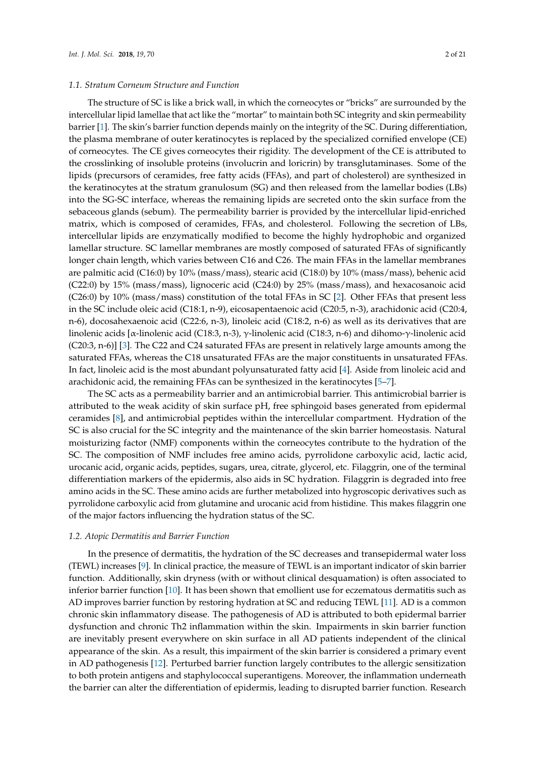#### *1.1. Stratum Corneum Structure and Function*

The structure of SC is like a brick wall, in which the corneocytes or "bricks" are surrounded by the intercellular lipid lamellae that act like the "mortar" to maintain both SC integrity and skin permeability barrier [\[1\]](#page-14-0). The skin's barrier function depends mainly on the integrity of the SC. During differentiation, the plasma membrane of outer keratinocytes is replaced by the specialized cornified envelope (CE) of corneocytes. The CE gives corneocytes their rigidity. The development of the CE is attributed to the crosslinking of insoluble proteins (involucrin and loricrin) by transglutaminases. Some of the lipids (precursors of ceramides, free fatty acids (FFAs), and part of cholesterol) are synthesized in the keratinocytes at the stratum granulosum (SG) and then released from the lamellar bodies (LBs) into the SG-SC interface, whereas the remaining lipids are secreted onto the skin surface from the sebaceous glands (sebum). The permeability barrier is provided by the intercellular lipid-enriched matrix, which is composed of ceramides, FFAs, and cholesterol. Following the secretion of LBs, intercellular lipids are enzymatically modified to become the highly hydrophobic and organized lamellar structure. SC lamellar membranes are mostly composed of saturated FFAs of significantly longer chain length, which varies between C16 and C26. The main FFAs in the lamellar membranes are palmitic acid (C16:0) by 10% (mass/mass), stearic acid (C18:0) by 10% (mass/mass), behenic acid (C22:0) by 15% (mass/mass), lignoceric acid (C24:0) by 25% (mass/mass), and hexacosanoic acid (C26:0) by 10% (mass/mass) constitution of the total FFAs in SC [\[2\]](#page-14-1). Other FFAs that present less in the SC include oleic acid (C18:1, n-9), eicosapentaenoic acid (C20:5, n-3), arachidonic acid (C20:4, n-6), docosahexaenoic acid (C22:6, n-3), linoleic acid (C18:2, n-6) as well as its derivatives that are linolenic acids [α-linolenic acid (C18:3, n-3), γ-linolenic acid (C18:3, n-6) and dihomo-γ-linolenic acid (C20:3, n-6)] [\[3\]](#page-14-2). The C22 and C24 saturated FFAs are present in relatively large amounts among the saturated FFAs, whereas the C18 unsaturated FFAs are the major constituents in unsaturated FFAs. In fact, linoleic acid is the most abundant polyunsaturated fatty acid [\[4\]](#page-14-3). Aside from linoleic acid and arachidonic acid, the remaining FFAs can be synthesized in the keratinocytes [\[5](#page-14-4)[–7\]](#page-14-5).

The SC acts as a permeability barrier and an antimicrobial barrier. This antimicrobial barrier is attributed to the weak acidity of skin surface pH, free sphingoid bases generated from epidermal ceramides [\[8\]](#page-14-6), and antimicrobial peptides within the intercellular compartment. Hydration of the SC is also crucial for the SC integrity and the maintenance of the skin barrier homeostasis. Natural moisturizing factor (NMF) components within the corneocytes contribute to the hydration of the SC. The composition of NMF includes free amino acids, pyrrolidone carboxylic acid, lactic acid, urocanic acid, organic acids, peptides, sugars, urea, citrate, glycerol, etc. Filaggrin, one of the terminal differentiation markers of the epidermis, also aids in SC hydration. Filaggrin is degraded into free amino acids in the SC. These amino acids are further metabolized into hygroscopic derivatives such as pyrrolidone carboxylic acid from glutamine and urocanic acid from histidine. This makes filaggrin one of the major factors influencing the hydration status of the SC.

#### *1.2. Atopic Dermatitis and Barrier Function*

In the presence of dermatitis, the hydration of the SC decreases and transepidermal water loss (TEWL) increases [\[9\]](#page-14-7). In clinical practice, the measure of TEWL is an important indicator of skin barrier function. Additionally, skin dryness (with or without clinical desquamation) is often associated to inferior barrier function [\[10\]](#page-14-8). It has been shown that emollient use for eczematous dermatitis such as AD improves barrier function by restoring hydration at SC and reducing TEWL [\[11\]](#page-14-9). AD is a common chronic skin inflammatory disease. The pathogenesis of AD is attributed to both epidermal barrier dysfunction and chronic Th2 inflammation within the skin. Impairments in skin barrier function are inevitably present everywhere on skin surface in all AD patients independent of the clinical appearance of the skin. As a result, this impairment of the skin barrier is considered a primary event in AD pathogenesis [\[12\]](#page-14-10). Perturbed barrier function largely contributes to the allergic sensitization to both protein antigens and staphylococcal superantigens. Moreover, the inflammation underneath the barrier can alter the differentiation of epidermis, leading to disrupted barrier function. Research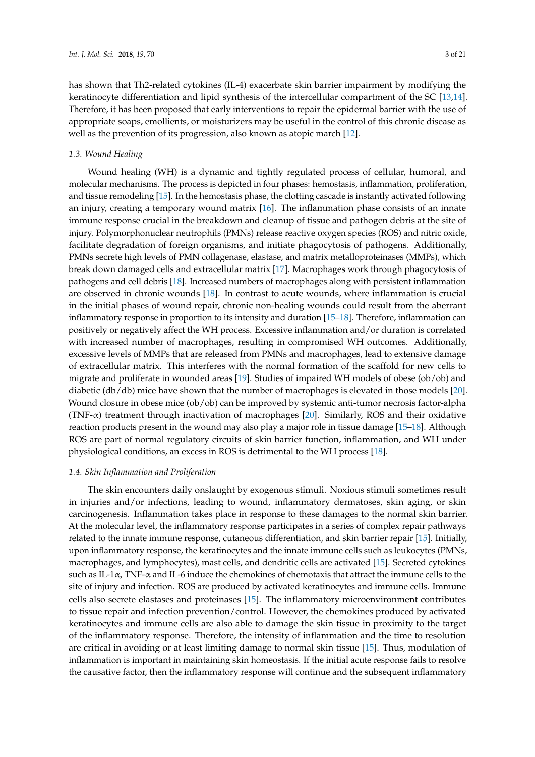has shown that Th2-related cytokines (IL-4) exacerbate skin barrier impairment by modifying the keratinocyte differentiation and lipid synthesis of the intercellular compartment of the SC [\[13,](#page-14-11)[14\]](#page-14-12). Therefore, it has been proposed that early interventions to repair the epidermal barrier with the use of appropriate soaps, emollients, or moisturizers may be useful in the control of this chronic disease as well as the prevention of its progression, also known as atopic march [\[12\]](#page-14-10).

#### *1.3. Wound Healing*

Wound healing (WH) is a dynamic and tightly regulated process of cellular, humoral, and molecular mechanisms. The process is depicted in four phases: hemostasis, inflammation, proliferation, and tissue remodeling [\[15\]](#page-14-13). In the hemostasis phase, the clotting cascade is instantly activated following an injury, creating a temporary wound matrix [\[16\]](#page-14-14). The inflammation phase consists of an innate immune response crucial in the breakdown and cleanup of tissue and pathogen debris at the site of injury. Polymorphonuclear neutrophils (PMNs) release reactive oxygen species (ROS) and nitric oxide, facilitate degradation of foreign organisms, and initiate phagocytosis of pathogens. Additionally, PMNs secrete high levels of PMN collagenase, elastase, and matrix metalloproteinases (MMPs), which break down damaged cells and extracellular matrix [\[17\]](#page-14-15). Macrophages work through phagocytosis of pathogens and cell debris [\[18\]](#page-14-16). Increased numbers of macrophages along with persistent inflammation are observed in chronic wounds [\[18\]](#page-14-16). In contrast to acute wounds, where inflammation is crucial in the initial phases of wound repair, chronic non-healing wounds could result from the aberrant inflammatory response in proportion to its intensity and duration [\[15](#page-14-13)[–18\]](#page-14-16). Therefore, inflammation can positively or negatively affect the WH process. Excessive inflammation and/or duration is correlated with increased number of macrophages, resulting in compromised WH outcomes. Additionally, excessive levels of MMPs that are released from PMNs and macrophages, lead to extensive damage of extracellular matrix. This interferes with the normal formation of the scaffold for new cells to migrate and proliferate in wounded areas [\[19\]](#page-14-17). Studies of impaired WH models of obese (ob/ob) and diabetic (db/db) mice have shown that the number of macrophages is elevated in those models [\[20\]](#page-14-18). Wound closure in obese mice (ob/ob) can be improved by systemic anti-tumor necrosis factor-alpha (TNF- $\alpha$ ) treatment through inactivation of macrophages [\[20\]](#page-14-18). Similarly, ROS and their oxidative reaction products present in the wound may also play a major role in tissue damage [\[15–](#page-14-13)[18\]](#page-14-16). Although ROS are part of normal regulatory circuits of skin barrier function, inflammation, and WH under physiological conditions, an excess in ROS is detrimental to the WH process [\[18\]](#page-14-16).

#### *1.4. Skin Inflammation and Proliferation*

The skin encounters daily onslaught by exogenous stimuli. Noxious stimuli sometimes result in injuries and/or infections, leading to wound, inflammatory dermatoses, skin aging, or skin carcinogenesis. Inflammation takes place in response to these damages to the normal skin barrier. At the molecular level, the inflammatory response participates in a series of complex repair pathways related to the innate immune response, cutaneous differentiation, and skin barrier repair [\[15\]](#page-14-13). Initially, upon inflammatory response, the keratinocytes and the innate immune cells such as leukocytes (PMNs, macrophages, and lymphocytes), mast cells, and dendritic cells are activated [\[15\]](#page-14-13). Secreted cytokines such as IL-1 $\alpha$ , TNF- $\alpha$  and IL-6 induce the chemokines of chemotaxis that attract the immune cells to the site of injury and infection. ROS are produced by activated keratinocytes and immune cells. Immune cells also secrete elastases and proteinases [\[15\]](#page-14-13). The inflammatory microenvironment contributes to tissue repair and infection prevention/control. However, the chemokines produced by activated keratinocytes and immune cells are also able to damage the skin tissue in proximity to the target of the inflammatory response. Therefore, the intensity of inflammation and the time to resolution are critical in avoiding or at least limiting damage to normal skin tissue [\[15\]](#page-14-13). Thus, modulation of inflammation is important in maintaining skin homeostasis. If the initial acute response fails to resolve the causative factor, then the inflammatory response will continue and the subsequent inflammatory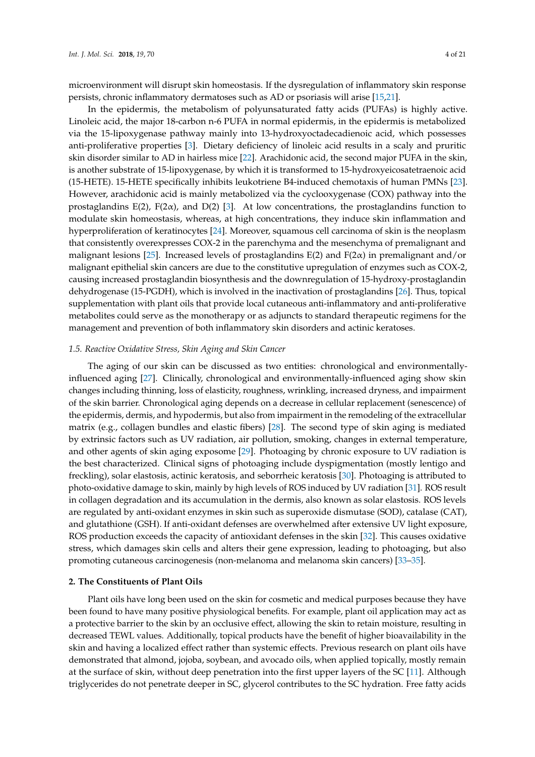microenvironment will disrupt skin homeostasis. If the dysregulation of inflammatory skin response persists, chronic inflammatory dermatoses such as AD or psoriasis will arise [\[15,](#page-14-13)[21\]](#page-14-19).

In the epidermis, the metabolism of polyunsaturated fatty acids (PUFAs) is highly active. Linoleic acid, the major 18-carbon n-6 PUFA in normal epidermis, in the epidermis is metabolized via the 15-lipoxygenase pathway mainly into 13-hydroxyoctadecadienoic acid, which possesses anti-proliferative properties [\[3\]](#page-14-2). Dietary deficiency of linoleic acid results in a scaly and pruritic skin disorder similar to AD in hairless mice [\[22\]](#page-15-0). Arachidonic acid, the second major PUFA in the skin, is another substrate of 15-lipoxygenase, by which it is transformed to 15-hydroxyeicosatetraenoic acid (15-HETE). 15-HETE specifically inhibits leukotriene B4-induced chemotaxis of human PMNs [\[23\]](#page-15-1). However, arachidonic acid is mainly metabolized via the cyclooxygenase (COX) pathway into the prostaglandins E(2), F(2 $\alpha$ ), and D(2) [\[3\]](#page-14-2). At low concentrations, the prostaglandins function to modulate skin homeostasis, whereas, at high concentrations, they induce skin inflammation and hyperproliferation of keratinocytes [\[24\]](#page-15-2). Moreover, squamous cell carcinoma of skin is the neoplasm that consistently overexpresses COX-2 in the parenchyma and the mesenchyma of premalignant and malignant lesions [\[25\]](#page-15-3). Increased levels of prostaglandins E(2) and F(2α) in premalignant and/or malignant epithelial skin cancers are due to the constitutive upregulation of enzymes such as COX-2, causing increased prostaglandin biosynthesis and the downregulation of 15-hydroxy-prostaglandin dehydrogenase (15-PGDH), which is involved in the inactivation of prostaglandins [\[26\]](#page-15-4). Thus, topical supplementation with plant oils that provide local cutaneous anti-inflammatory and anti-proliferative metabolites could serve as the monotherapy or as adjuncts to standard therapeutic regimens for the management and prevention of both inflammatory skin disorders and actinic keratoses.

#### *1.5. Reactive Oxidative Stress, Skin Aging and Skin Cancer*

The aging of our skin can be discussed as two entities: chronological and environmentallyinfluenced aging [\[27\]](#page-15-5). Clinically, chronological and environmentally-influenced aging show skin changes including thinning, loss of elasticity, roughness, wrinkling, increased dryness, and impairment of the skin barrier. Chronological aging depends on a decrease in cellular replacement (senescence) of the epidermis, dermis, and hypodermis, but also from impairment in the remodeling of the extracellular matrix (e.g., collagen bundles and elastic fibers) [\[28\]](#page-15-6). The second type of skin aging is mediated by extrinsic factors such as UV radiation, air pollution, smoking, changes in external temperature, and other agents of skin aging exposome [\[29\]](#page-15-7). Photoaging by chronic exposure to UV radiation is the best characterized. Clinical signs of photoaging include dyspigmentation (mostly lentigo and freckling), solar elastosis, actinic keratosis, and seborrheic keratosis [\[30\]](#page-15-8). Photoaging is attributed to photo-oxidative damage to skin, mainly by high levels of ROS induced by UV radiation [\[31\]](#page-15-9). ROS result in collagen degradation and its accumulation in the dermis, also known as solar elastosis. ROS levels are regulated by anti-oxidant enzymes in skin such as superoxide dismutase (SOD), catalase (CAT), and glutathione (GSH). If anti-oxidant defenses are overwhelmed after extensive UV light exposure, ROS production exceeds the capacity of antioxidant defenses in the skin [\[32\]](#page-15-10). This causes oxidative stress, which damages skin cells and alters their gene expression, leading to photoaging, but also promoting cutaneous carcinogenesis (non-melanoma and melanoma skin cancers) [\[33–](#page-15-11)[35\]](#page-15-12).

#### **2. The Constituents of Plant Oils**

Plant oils have long been used on the skin for cosmetic and medical purposes because they have been found to have many positive physiological benefits. For example, plant oil application may act as a protective barrier to the skin by an occlusive effect, allowing the skin to retain moisture, resulting in decreased TEWL values. Additionally, topical products have the benefit of higher bioavailability in the skin and having a localized effect rather than systemic effects. Previous research on plant oils have demonstrated that almond, jojoba, soybean, and avocado oils, when applied topically, mostly remain at the surface of skin, without deep penetration into the first upper layers of the SC [\[11\]](#page-14-9). Although triglycerides do not penetrate deeper in SC, glycerol contributes to the SC hydration. Free fatty acids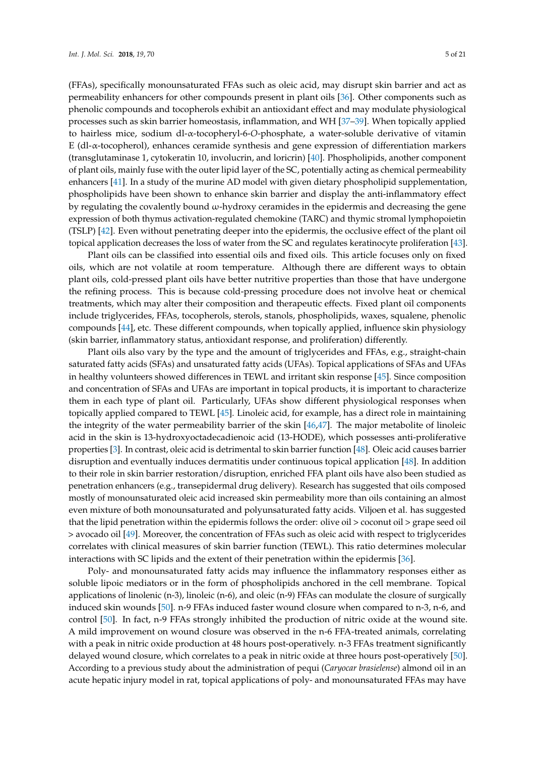(FFAs), specifically monounsaturated FFAs such as oleic acid, may disrupt skin barrier and act as permeability enhancers for other compounds present in plant oils [\[36\]](#page-15-13). Other components such as phenolic compounds and tocopherols exhibit an antioxidant effect and may modulate physiological processes such as skin barrier homeostasis, inflammation, and WH [\[37–](#page-15-14)[39\]](#page-15-15). When topically applied to hairless mice, sodium dl-α-tocopheryl-6-*O*-phosphate, a water-soluble derivative of vitamin E (dl-α-tocopherol), enhances ceramide synthesis and gene expression of differentiation markers (transglutaminase 1, cytokeratin 10, involucrin, and loricrin) [\[40\]](#page-15-16). Phospholipids, another component of plant oils, mainly fuse with the outer lipid layer of the SC, potentially acting as chemical permeability enhancers [\[41\]](#page-15-17). In a study of the murine AD model with given dietary phospholipid supplementation, phospholipids have been shown to enhance skin barrier and display the anti-inflammatory effect by regulating the covalently bound ω-hydroxy ceramides in the epidermis and decreasing the gene expression of both thymus activation-regulated chemokine (TARC) and thymic stromal lymphopoietin (TSLP) [\[42\]](#page-15-18). Even without penetrating deeper into the epidermis, the occlusive effect of the plant oil topical application decreases the loss of water from the SC and regulates keratinocyte proliferation [\[43\]](#page-16-0).

Plant oils can be classified into essential oils and fixed oils. This article focuses only on fixed oils, which are not volatile at room temperature. Although there are different ways to obtain plant oils, cold-pressed plant oils have better nutritive properties than those that have undergone the refining process. This is because cold-pressing procedure does not involve heat or chemical treatments, which may alter their composition and therapeutic effects. Fixed plant oil components include triglycerides, FFAs, tocopherols, sterols, stanols, phospholipids, waxes, squalene, phenolic compounds [\[44\]](#page-16-1), etc. These different compounds, when topically applied, influence skin physiology (skin barrier, inflammatory status, antioxidant response, and proliferation) differently.

Plant oils also vary by the type and the amount of triglycerides and FFAs, e.g., straight-chain saturated fatty acids (SFAs) and unsaturated fatty acids (UFAs). Topical applications of SFAs and UFAs in healthy volunteers showed differences in TEWL and irritant skin response [\[45\]](#page-16-2). Since composition and concentration of SFAs and UFAs are important in topical products, it is important to characterize them in each type of plant oil. Particularly, UFAs show different physiological responses when topically applied compared to TEWL [\[45\]](#page-16-2). Linoleic acid, for example, has a direct role in maintaining the integrity of the water permeability barrier of the skin [\[46](#page-16-3)[,47\]](#page-16-4). The major metabolite of linoleic acid in the skin is 13-hydroxyoctadecadienoic acid (13-HODE), which possesses anti-proliferative properties [\[3\]](#page-14-2). In contrast, oleic acid is detrimental to skin barrier function [\[48\]](#page-16-5). Oleic acid causes barrier disruption and eventually induces dermatitis under continuous topical application [\[48\]](#page-16-5). In addition to their role in skin barrier restoration/disruption, enriched FFA plant oils have also been studied as penetration enhancers (e.g., transepidermal drug delivery). Research has suggested that oils composed mostly of monounsaturated oleic acid increased skin permeability more than oils containing an almost even mixture of both monounsaturated and polyunsaturated fatty acids. Viljoen et al. has suggested that the lipid penetration within the epidermis follows the order: olive oil > coconut oil > grape seed oil > avocado oil [\[49\]](#page-16-6). Moreover, the concentration of FFAs such as oleic acid with respect to triglycerides correlates with clinical measures of skin barrier function (TEWL). This ratio determines molecular interactions with SC lipids and the extent of their penetration within the epidermis [\[36\]](#page-15-13).

Poly- and monounsaturated fatty acids may influence the inflammatory responses either as soluble lipoic mediators or in the form of phospholipids anchored in the cell membrane. Topical applications of linolenic (n-3), linoleic (n-6), and oleic (n-9) FFAs can modulate the closure of surgically induced skin wounds [\[50\]](#page-16-7). n-9 FFAs induced faster wound closure when compared to n-3, n-6, and control [\[50\]](#page-16-7). In fact, n-9 FFAs strongly inhibited the production of nitric oxide at the wound site. A mild improvement on wound closure was observed in the n-6 FFA-treated animals, correlating with a peak in nitric oxide production at 48 hours post-operatively. n-3 FFAs treatment significantly delayed wound closure, which correlates to a peak in nitric oxide at three hours post-operatively [\[50\]](#page-16-7). According to a previous study about the administration of pequi (*Caryocar brasielense*) almond oil in an acute hepatic injury model in rat, topical applications of poly- and monounsaturated FFAs may have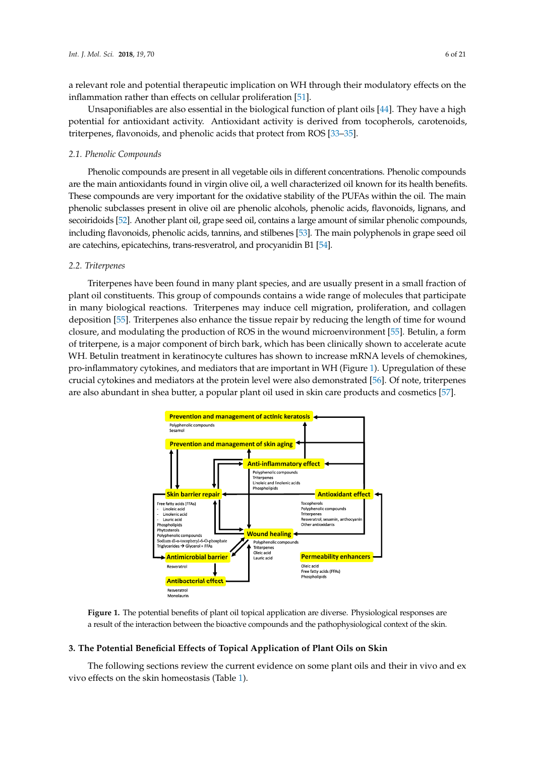a relevant role and potential therapeutic implication on WH through their modulatory effects on the inflammation rather than effects on cellular proliferation [\[51\]](#page-16-8).

Unsaponifiables are also essential in the biological function of plant oils [\[44\]](#page-16-1). They have a high potential for antioxidant activity. Antioxidant activity is derived from tocopherols, carotenoids, *t*riterpenes, flavonoids, and phenolic acids that protect from ROS [\[33](#page-15-11)[–35\]](#page-15-12).

#### *2.1. Phenolic Compounds* Phenolic compounds are present in all vegetable oils in different concentrations. Phenolic  $\epsilon$ ... The main compounds

Phenolic compounds are present in all vegetable oils in different concentrations. Phenolic compounds are the main antioxidants found in virgin olive oil, a well characterized oil known for its health benefits. These compounds are very important for the oxidative stability of the PUFAs within the oil. The main phenolic subclasses present in olive oil are phenolic alcohols, phenolic acids, flavonoids, lignans, and secoiridoids [52]. Another plant oil, grape seed oil, contains a large amount of similar p[hen](#page-16-9)olic compounds, including flavonoids, phenolic acids, tannins, and stilbenes [\[53\]](#page-16-10). The main polyphenols in grape seed oil are catechins, epicatechins, trans-resveratrol, and procyanidin B1 [\[54\]](#page-16-11).

#### *2.2. Triterpenes*  $T$ riterpenes have been found in many plant species, and are usuall fraction in a small fraction in a small fraction in a small fraction in a small fraction in a small fraction in a small fraction in a small fraction in a

Triterpenes have been found in many plant species, and are usually present in a small fraction of plant oil constituents. This group of compounds contains a wide range of molecules that participate in many biological reactions. Triterpenes may induce cell migration, proliferation, and collagen deposition [\[55\]](#page-16-12). Triterpenes also enhance the tissue repair by reducing the length of time for wound closure, and modulating the production of ROS in the wound microenvironment [\[55\]](#page-16-12). Betulin, a form of triterpene, is a major component of birch bark, which has been clinically shown to accelerate acute WH. Betulin treatment in keratinocyte cultures has shown to increase mRNA levels of chemokines, pro-inflammatory cytokines, and mediators that are important in WH (Figure 1). Upregulation of these crucial cytokines and mediators at the protein level were also demonstrated [\[56\]](#page-16-13). Of note, triterpenes crucial cytokines and mediators at the protein level were also demonstrated [56]. Of note, triterpenes<br>are also abundant in shea butter, a popular plant oil used in skin care products and cosmetics [57].

<span id="page-5-0"></span>

a result of the interaction between the bioactive compounds and the pathophysiological context of the skin. **Figure 1.** The potential benefits of plant oil topical application are diverse. Physiological responses are

## 3. The Potential Beneficial Effects of Topical Application of Plant Oils on Skin

The following sections review the current evidence on some plant oils and their in vivo and ex  $T_{\rm eff}$  sections review the current evidence on some plant of  $\alpha$ vivo effects on the skin homeostasis (Table [1\)](#page-7-0).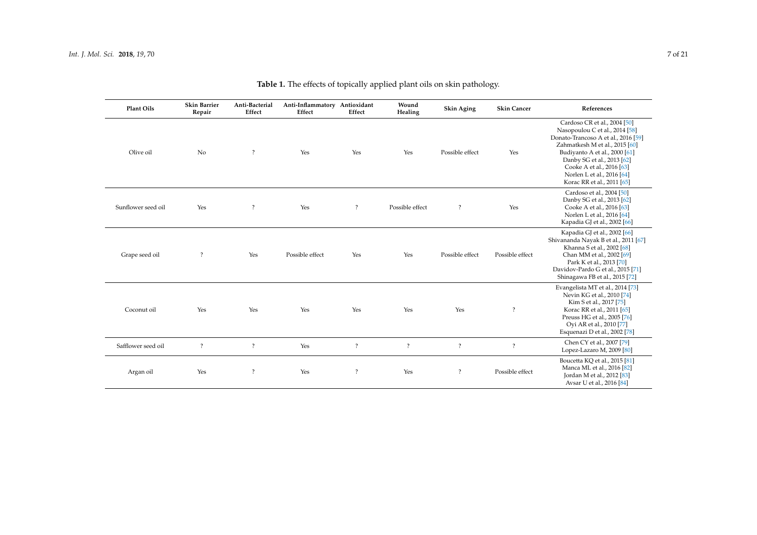| Plant Oils         | <b>Skin Barrier</b><br>Repair | Anti-Bacterial<br>Effect | Anti-Inflammatory Antioxidant<br>Effect | Effect             | Wound<br>Healing | <b>Skin Aging</b>  | <b>Skin Cancer</b> | References                                                                                                                                                                                                                                                                                      |
|--------------------|-------------------------------|--------------------------|-----------------------------------------|--------------------|------------------|--------------------|--------------------|-------------------------------------------------------------------------------------------------------------------------------------------------------------------------------------------------------------------------------------------------------------------------------------------------|
| Olive oil          | No                            | $\overline{\cdot}$       | Yes                                     | Yes                | Yes              | Possible effect    | Yes                | Cardoso CR et al., 2004 [50]<br>Nasopoulou C et al., 2014 [58]<br>Donato-Trancoso A et al., 2016 [59]<br>Zahmatkesh M et al., 2015 [60]<br>Budiyanto A et al., 2000 [61]<br>Danby SG et al., 2013 [62]<br>Cooke A et al., 2016 [63]<br>Norlen L et al., 2016 [64]<br>Korac RR et al., 2011 [65] |
| Sunflower seed oil | Yes                           | $\overline{\cdot}$       | Yes                                     | $\overline{\cdot}$ | Possible effect  | $\overline{\cdot}$ | Yes                | Cardoso et al., 2004 [50]<br>Danby SG et al., 2013 [62]<br>Cooke A et al., 2016 [63]<br>Norlen L et al., 2016 [64]<br>Kapadia GJ et al., 2002 [66]                                                                                                                                              |
| Grape seed oil     | $\overline{\cdot}$            | Yes                      | Possible effect                         | Yes                | Yes              | Possible effect    | Possible effect    | Kapadia GJ et al., 2002 [66]<br>Shivananda Nayak B et al., 2011 [67]<br>Khanna S et al., 2002 [68]<br>Chan MM et al., 2002 [69]<br>Park K et al., 2013 [70]<br>Davidov-Pardo G et al., 2015 [71]<br>Shinagawa FB et al., 2015 [72]                                                              |
| Coconut oil        | Yes                           | Yes                      | Yes                                     | Yes                | Yes              | Yes                | $\overline{\cdot}$ | Evangelista MT et al., 2014 [73]<br>Nevin KG et al., 2010 [74]<br>Kim S et al., 2017 [75]<br>Korac RR et al., 2011 [65]<br>Preuss HG et al., 2005 [76]<br>Oyi AR et al., 2010 [77]<br>Esquenazi D et al., 2002 [78]                                                                             |
| Safflower seed oil | $\ddot{?}$                    | $\ddot{?}$               | Yes                                     | $\ddot{?}$         | $\ddot{?}$       | $\overline{\cdot}$ | $\overline{?}$     | Chen CY et al., 2007 [79]<br>Lopez-Lazaro M, 2009 [80]                                                                                                                                                                                                                                          |
| Argan oil          | Yes                           | $\overline{\cdot}$       | Yes                                     | $\ddot{?}$         | Yes              | $\ddot{?}$         | Possible effect    | Boucetta KQ et al., 2015 [81]<br>Manca ML et al., 2016 [82]<br>Jordan M et al., 2012 [83]<br>Avsar U et al., 2016 [84]                                                                                                                                                                          |

# **Table 1.** The effects of topically applied plant oils on skin pathology.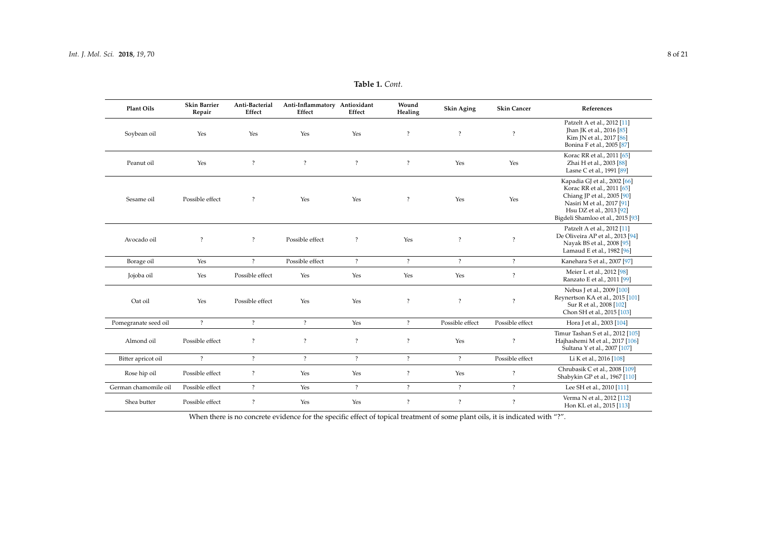| Plant Oils           | <b>Skin Barrier</b><br>Repair | Anti-Bacterial<br>Effect | Anti-Inflammatory Antioxidant<br>Effect | Effect         | Wound<br>Healing     | <b>Skin Aging</b>  | <b>Skin Cancer</b> | References                                                                                                                                                                               |
|----------------------|-------------------------------|--------------------------|-----------------------------------------|----------------|----------------------|--------------------|--------------------|------------------------------------------------------------------------------------------------------------------------------------------------------------------------------------------|
| Soybean oil          | Yes                           | Yes                      | Yes                                     | Yes            | $\overline{?}$       | $\overline{?}$     | $\overline{?}$     | Patzelt A et al., 2012 [11]<br>Jhan JK et al., 2016 [85]<br>Kim JN et al., 2017 [86]<br>Bonina F et al., 2005 [87]                                                                       |
| Peanut oil           | Yes                           | $\ddot{?}$               | $\overline{?}$                          | $\overline{?}$ | $\overline{\cdot}$   | Yes                | Yes                | Korac RR et al., 2011 [65]<br>Zhai H et al., 2003 [88]<br>Lasne C et al., 1991 [89]                                                                                                      |
| Sesame oil           | Possible effect               | $\overline{?}$           | Yes                                     | Yes            | $\ddot{\phantom{0}}$ | Yes                | Yes                | Kapadia GJ et al., 2002 [66]<br>Korac RR et al., 2011 [65]<br>Chiang JP et al., 2005 [90]<br>Nasiri M et al., 2017 [91]<br>Hsu DZ et al., 2013 [92]<br>Bigdeli Shamloo et al., 2015 [93] |
| Avocado oil          | $\overline{?}$                | $\ddot{?}$               | Possible effect                         | $\overline{?}$ | Yes                  | $\overline{\cdot}$ | $\ddot{?}$         | Patzelt A et al., 2012 [11]<br>De Oliveira AP et al., 2013 [94]<br>Nayak BS et al., 2008 [95]<br>Lamaud E et al., 1982 [96]                                                              |
| Borage oil           | Yes                           | $\overline{?}$           | Possible effect                         | $\overline{?}$ | $\overline{?}$       | $\overline{?}$     | $\overline{?}$     | Kanehara S et al., 2007 [97]                                                                                                                                                             |
| Jojoba oil           | Yes                           | Possible effect          | Yes                                     | Yes            | Yes                  | Yes                | $\ddot{?}$         | Meier L et al., 2012 [98]<br>Ranzato E et al., 2011 [99]                                                                                                                                 |
| Oat oil              | Yes                           | Possible effect          | Yes                                     | Yes            | $\overline{\cdot}$   | $\overline{?}$     | $\overline{?}$     | Nebus J et al., 2009 [100]<br>Reynertson KA et al., 2015 [101]<br>Sur R et al., 2008 [102]<br>Chon SH et al., 2015 [103]                                                                 |
| Pomegranate seed oil | $\overline{?}$                | $\overline{?}$           | $\overline{?}$                          | Yes            | $\overline{?}$       | Possible effect    | Possible effect    | Hora J et al., 2003 [104]                                                                                                                                                                |
| Almond oil           | Possible effect               | $\overline{\cdot}$       | $\overline{\cdot}$                      | $\overline{?}$ | $\ddot{?}$           | Yes                | $\ddot{?}$         | Timur Tashan S et al., 2012 [105]<br>Hajhashemi M et al., 2017 [106]<br>Sultana Y et al., 2007 [107]                                                                                     |
| Bitter apricot oil   | $\overline{?}$                | $\overline{?}$           | $\overline{?}$                          | $\overline{?}$ | $\overline{?}$       | $\overline{?}$     | Possible effect    | Li K et al., 2016 [108]                                                                                                                                                                  |
| Rose hip oil         | Possible effect               | $\overline{\cdot}$       | Yes                                     | Yes            | $\overline{\cdot}$   | Yes                | $\overline{?}$     | Chrubasik C et al., 2008 [109]<br>Shabykin GP et al., 1967 [110]                                                                                                                         |
| German chamomile oil | Possible effect               | $\overline{?}$           | Yes                                     | $\overline{?}$ | $\overline{?}$       | $\overline{?}$     | $\overline{?}$     | Lee SH et al., 2010 [111]                                                                                                                                                                |
| Shea butter          | Possible effect               | $\overline{?}$           | Yes                                     | Yes            | $\overline{\cdot}$   | $\overline{\cdot}$ | $\overline{?}$     | Verma N et al., 2012 [112]<br>Hon KL et al., 2015 [113]                                                                                                                                  |

**Table 1.** *Cont.*

<span id="page-7-0"></span>When there is no concrete evidence for the specific effect of topical treatment of some plant oils, it is indicated with "?".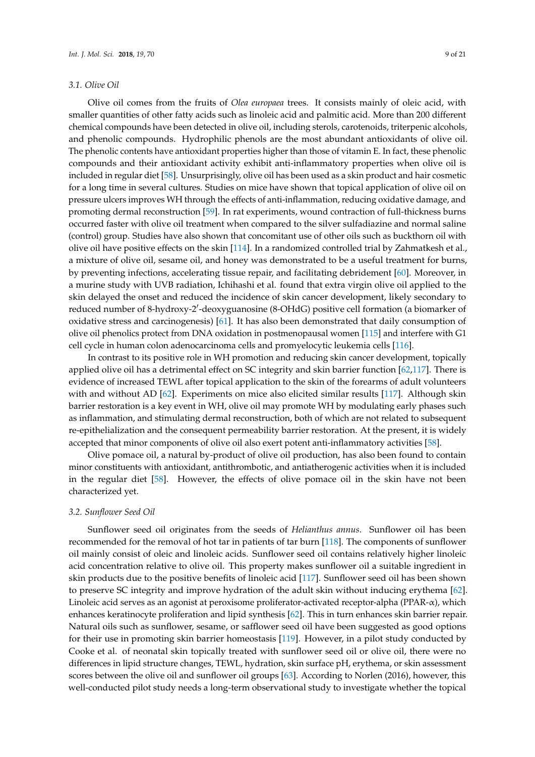#### *3.1. Olive Oil*

Olive oil comes from the fruits of *Olea europaea* trees. It consists mainly of oleic acid, with smaller quantities of other fatty acids such as linoleic acid and palmitic acid. More than 200 different chemical compounds have been detected in olive oil, including sterols, carotenoids, triterpenic alcohols, and phenolic compounds. Hydrophilic phenols are the most abundant antioxidants of olive oil. The phenolic contents have antioxidant properties higher than those of vitamin E. In fact, these phenolic compounds and their antioxidant activity exhibit anti-inflammatory properties when olive oil is included in regular diet [\[58\]](#page-16-20). Unsurprisingly, olive oil has been used as a skin product and hair cosmetic for a long time in several cultures. Studies on mice have shown that topical application of olive oil on pressure ulcers improves WH through the effects of anti-inflammation, reducing oxidative damage, and promoting dermal reconstruction [\[59\]](#page-16-21). In rat experiments, wound contraction of full-thickness burns occurred faster with olive oil treatment when compared to the silver sulfadiazine and normal saline (control) group. Studies have also shown that concomitant use of other oils such as buckthorn oil with olive oil have positive effects on the skin [\[114\]](#page-19-13). In a randomized controlled trial by Zahmatkesh et al., a mixture of olive oil, sesame oil, and honey was demonstrated to be a useful treatment for burns, by preventing infections, accelerating tissue repair, and facilitating debridement [\[60\]](#page-16-22). Moreover, in a murine study with UVB radiation, Ichihashi et al. found that extra virgin olive oil applied to the skin delayed the onset and reduced the incidence of skin cancer development, likely secondary to reduced number of 8-hydroxy-2'-deoxyguanosine (8-OHdG) positive cell formation (a biomarker of oxidative stress and carcinogenesis) [\[61\]](#page-16-23). It has also been demonstrated that daily consumption of olive oil phenolics protect from DNA oxidation in postmenopausal women [\[115\]](#page-19-14) and interfere with G1 cell cycle in human colon adenocarcinoma cells and promyelocytic leukemia cells [\[116\]](#page-19-15).

In contrast to its positive role in WH promotion and reducing skin cancer development, topically applied olive oil has a detrimental effect on SC integrity and skin barrier function [\[62,](#page-16-24)[117\]](#page-19-16). There is evidence of increased TEWL after topical application to the skin of the forearms of adult volunteers with and without AD [\[62\]](#page-16-24). Experiments on mice also elicited similar results [\[117\]](#page-19-16). Although skin barrier restoration is a key event in WH, olive oil may promote WH by modulating early phases such as inflammation, and stimulating dermal reconstruction, both of which are not related to subsequent re-epithelialization and the consequent permeability barrier restoration. At the present, it is widely accepted that minor components of olive oil also exert potent anti-inflammatory activities [\[58\]](#page-16-20).

Olive pomace oil, a natural by-product of olive oil production, has also been found to contain minor constituents with antioxidant, antithrombotic, and antiatherogenic activities when it is included in the regular diet [\[58\]](#page-16-20). However, the effects of olive pomace oil in the skin have not been characterized yet.

#### *3.2. Sunflower Seed Oil*

Sunflower seed oil originates from the seeds of *Helianthus annus*. Sunflower oil has been recommended for the removal of hot tar in patients of tar burn [\[118\]](#page-19-17). The components of sunflower oil mainly consist of oleic and linoleic acids. Sunflower seed oil contains relatively higher linoleic acid concentration relative to olive oil. This property makes sunflower oil a suitable ingredient in skin products due to the positive benefits of linoleic acid [\[117\]](#page-19-16). Sunflower seed oil has been shown to preserve SC integrity and improve hydration of the adult skin without inducing erythema [\[62\]](#page-16-24). Linoleic acid serves as an agonist at peroxisome proliferator-activated receptor-alpha (PPAR-α), which enhances keratinocyte proliferation and lipid synthesis [\[62\]](#page-16-24). This in turn enhances skin barrier repair. Natural oils such as sunflower, sesame, or safflower seed oil have been suggested as good options for their use in promoting skin barrier homeostasis [\[119\]](#page-19-18). However, in a pilot study conducted by Cooke et al. of neonatal skin topically treated with sunflower seed oil or olive oil, there were no differences in lipid structure changes, TEWL, hydration, skin surface pH, erythema, or skin assessment scores between the olive oil and sunflower oil groups [\[63\]](#page-17-19). According to Norlen (2016), however, this well-conducted pilot study needs a long-term observational study to investigate whether the topical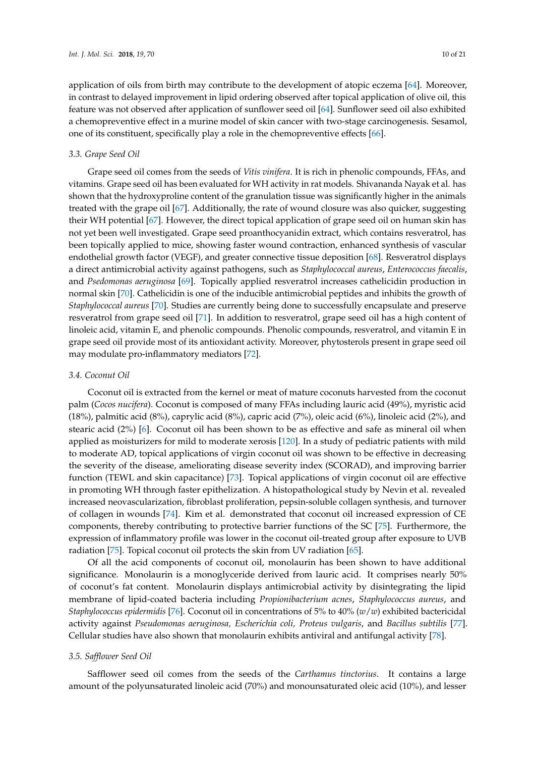application of oils from birth may contribute to the development of atopic eczema [\[64\]](#page-17-20). Moreover, in contrast to delayed improvement in lipid ordering observed after topical application of olive oil, this feature was not observed after application of sunflower seed oil [\[64\]](#page-17-20). Sunflower seed oil also exhibited a chemopreventive effect in a murine model of skin cancer with two-stage carcinogenesis. Sesamol, one of its constituent, specifically play a role in the chemopreventive effects [\[66\]](#page-17-21).

#### *3.3. Grape Seed Oil*

Grape seed oil comes from the seeds of *Vitis vinifera*. It is rich in phenolic compounds, FFAs, and vitamins. Grape seed oil has been evaluated for WH activity in rat models. Shivananda Nayak et al. has shown that the hydroxyproline content of the granulation tissue was significantly higher in the animals treated with the grape oil [\[67\]](#page-17-22). Additionally, the rate of wound closure was also quicker, suggesting their WH potential [\[67\]](#page-17-22). However, the direct topical application of grape seed oil on human skin has not yet been well investigated. Grape seed proanthocyanidin extract, which contains resveratrol, has been topically applied to mice, showing faster wound contraction, enhanced synthesis of vascular endothelial growth factor (VEGF), and greater connective tissue deposition [\[68\]](#page-17-23). Resveratrol displays a direct antimicrobial activity against pathogens, such as *Staphylococcal aureus*, *Enterococcus faecalis*, and *Psedomonas aeruginosa* [\[69\]](#page-17-24). Topically applied resveratrol increases cathelicidin production in normal skin [\[70\]](#page-17-25). Cathelicidin is one of the inducible antimicrobial peptides and inhibits the growth of *Staphylococcal aureus* [\[70\]](#page-17-25). Studies are currently being done to successfully encapsulate and preserve resveratrol from grape seed oil [\[71\]](#page-17-26). In addition to resveratrol, grape seed oil has a high content of linoleic acid, vitamin E, and phenolic compounds. Phenolic compounds, resveratrol, and vitamin E in grape seed oil provide most of its antioxidant activity. Moreover, phytosterols present in grape seed oil may modulate pro-inflammatory mediators [\[72\]](#page-17-27).

#### *3.4. Coconut Oil*

Coconut oil is extracted from the kernel or meat of mature coconuts harvested from the coconut palm (*Cocos nucifera*). Coconut is composed of many FFAs including lauric acid (49%), myristic acid (18%), palmitic acid (8%), caprylic acid (8%), capric acid (7%), oleic acid (6%), linoleic acid (2%), and stearic acid (2%) [\[6\]](#page-14-21). Coconut oil has been shown to be as effective and safe as mineral oil when applied as moisturizers for mild to moderate xerosis [\[120\]](#page-19-19). In a study of pediatric patients with mild to moderate AD, topical applications of virgin coconut oil was shown to be effective in decreasing the severity of the disease, ameliorating disease severity index (SCORAD), and improving barrier function (TEWL and skin capacitance) [\[73\]](#page-17-28). Topical applications of virgin coconut oil are effective in promoting WH through faster epithelization. A histopathological study by Nevin et al. revealed increased neovascularization, fibroblast proliferation, pepsin-soluble collagen synthesis, and turnover of collagen in wounds [\[74\]](#page-17-18). Kim et al. demonstrated that coconut oil increased expression of CE components, thereby contributing to protective barrier functions of the SC [\[75\]](#page-17-29). Furthermore, the expression of inflammatory profile was lower in the coconut oil-treated group after exposure to UVB radiation [\[75\]](#page-17-29). Topical coconut oil protects the skin from UV radiation [\[65\]](#page-17-30).

Of all the acid components of coconut oil, monolaurin has been shown to have additional significance. Monolaurin is a monoglyceride derived from lauric acid. It comprises nearly 50% of coconut's fat content. Monolaurin displays antimicrobial activity by disintegrating the lipid membrane of lipid-coated bacteria including *Propionibacterium acnes*, *Staphylococcus aureus*, and *Staphylococcus epidermidis* [\[76\]](#page-17-31). Coconut oil in concentrations of 5% to 40% (*w*/*w*) exhibited bactericidal activity against *Pseudomonas aeruginosa, Escherichia coli, Proteus vulgaris*, and *Bacillus subtilis* [\[77\]](#page-17-32). Cellular studies have also shown that monolaurin exhibits antiviral and antifungal activity [\[78\]](#page-17-33).

#### *3.5. Safflower Seed Oil*

Safflower seed oil comes from the seeds of the *Carthamus tinctorius*. It contains a large amount of the polyunsaturated linoleic acid (70%) and monounsaturated oleic acid (10%), and lesser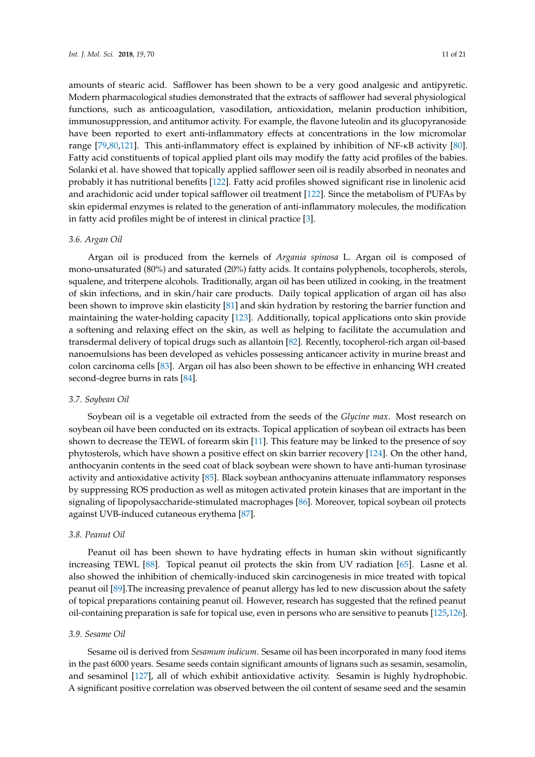amounts of stearic acid. Safflower has been shown to be a very good analgesic and antipyretic. Modern pharmacological studies demonstrated that the extracts of safflower had several physiological functions, such as anticoagulation, vasodilation, antioxidation, melanin production inhibition, immunosuppression, and antitumor activity. For example, the flavone luteolin and its glucopyranoside have been reported to exert anti-inflammatory effects at concentrations in the low micromolar range [\[79,](#page-17-34)[80](#page-17-35)[,121\]](#page-19-20). This anti-inflammatory effect is explained by inhibition of NF-κB activity [\[80\]](#page-17-35). Fatty acid constituents of topical applied plant oils may modify the fatty acid profiles of the babies. Solanki et al. have showed that topically applied safflower seen oil is readily absorbed in neonates and probably it has nutritional benefits [\[122\]](#page-20-0). Fatty acid profiles showed significant rise in linolenic acid and arachidonic acid under topical safflower oil treatment [\[122\]](#page-20-0). Since the metabolism of PUFAs by skin epidermal enzymes is related to the generation of anti-inflammatory molecules, the modification in fatty acid profiles might be of interest in clinical practice [\[3\]](#page-14-2).

#### *3.6. Argan Oil*

Argan oil is produced from the kernels of *Argania spinosa* L. Argan oil is composed of mono-unsaturated (80%) and saturated (20%) fatty acids. It contains polyphenols, tocopherols, sterols, squalene, and triterpene alcohols. Traditionally, argan oil has been utilized in cooking, in the treatment of skin infections, and in skin/hair care products. Daily topical application of argan oil has also been shown to improve skin elasticity [\[81\]](#page-17-36) and skin hydration by restoring the barrier function and maintaining the water-holding capacity [\[123\]](#page-20-1). Additionally, topical applications onto skin provide a softening and relaxing effect on the skin, as well as helping to facilitate the accumulation and transdermal delivery of topical drugs such as allantoin [\[82\]](#page-18-19). Recently, tocopherol-rich argan oil-based nanoemulsions has been developed as vehicles possessing anticancer activity in murine breast and colon carcinoma cells [\[83\]](#page-18-20). Argan oil has also been shown to be effective in enhancing WH created second-degree burns in rats [\[84\]](#page-18-21).

#### *3.7. Soybean Oil*

Soybean oil is a vegetable oil extracted from the seeds of the *Glycine max*. Most research on soybean oil have been conducted on its extracts. Topical application of soybean oil extracts has been shown to decrease the TEWL of forearm skin [\[11\]](#page-14-9). This feature may be linked to the presence of soy phytosterols, which have shown a positive effect on skin barrier recovery [\[124\]](#page-20-2). On the other hand, anthocyanin contents in the seed coat of black soybean were shown to have anti-human tyrosinase activity and antioxidative activity [\[85\]](#page-18-22). Black soybean anthocyanins attenuate inflammatory responses by suppressing ROS production as well as mitogen activated protein kinases that are important in the signaling of lipopolysaccharide-stimulated macrophages [\[86\]](#page-18-23). Moreover, topical soybean oil protects against UVB-induced cutaneous erythema [\[87\]](#page-18-24).

### *3.8. Peanut Oil*

Peanut oil has been shown to have hydrating effects in human skin without significantly increasing TEWL [\[88\]](#page-18-13). Topical peanut oil protects the skin from UV radiation [\[65\]](#page-17-30). Lasne et al. also showed the inhibition of chemically-induced skin carcinogenesis in mice treated with topical peanut oil [\[89\]](#page-18-14).The increasing prevalence of peanut allergy has led to new discussion about the safety of topical preparations containing peanut oil. However, research has suggested that the refined peanut oil-containing preparation is safe for topical use, even in persons who are sensitive to peanuts [\[125](#page-20-3)[,126\]](#page-20-4).

#### *3.9. Sesame Oil*

Sesame oil is derived from *Sesamum indicum*. Sesame oil has been incorporated in many food items in the past 6000 years. Sesame seeds contain significant amounts of lignans such as sesamin, sesamolin, and sesaminol [\[127\]](#page-20-5), all of which exhibit antioxidative activity. Sesamin is highly hydrophobic. A significant positive correlation was observed between the oil content of sesame seed and the sesamin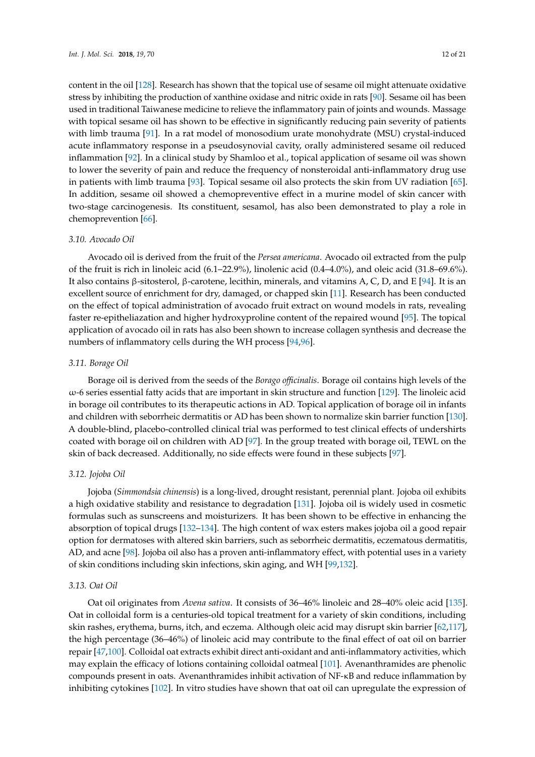content in the oil [\[128\]](#page-20-6). Research has shown that the topical use of sesame oil might attenuate oxidative stress by inhibiting the production of xanthine oxidase and nitric oxide in rats [\[90\]](#page-18-25). Sesame oil has been used in traditional Taiwanese medicine to relieve the inflammatory pain of joints and wounds. Massage with topical sesame oil has shown to be effective in significantly reducing pain severity of patients with limb trauma [\[91\]](#page-18-26). In a rat model of monosodium urate monohydrate (MSU) crystal-induced acute inflammatory response in a pseudosynovial cavity, orally administered sesame oil reduced inflammation [\[92\]](#page-18-27). In a clinical study by Shamloo et al., topical application of sesame oil was shown to lower the severity of pain and reduce the frequency of nonsteroidal anti-inflammatory drug use in patients with limb trauma [\[93\]](#page-18-17). Topical sesame oil also protects the skin from UV radiation [\[65\]](#page-17-30). In addition, sesame oil showed a chemopreventive effect in a murine model of skin cancer with two-stage carcinogenesis. Its constituent, sesamol, has also been demonstrated to play a role in chemoprevention [\[66\]](#page-17-21).

#### *3.10. Avocado Oil*

Avocado oil is derived from the fruit of the *Persea americana*. Avocado oil extracted from the pulp of the fruit is rich in linoleic acid (6.1–22.9%), linolenic acid (0.4–4.0%), and oleic acid (31.8–69.6%). It also contains β-sitosterol, β-carotene, lecithin, minerals, and vitamins A, C, D, and E [\[94\]](#page-18-28). It is an excellent source of enrichment for dry, damaged, or chapped skin [\[11\]](#page-14-9). Research has been conducted on the effect of topical administration of avocado fruit extract on wound models in rats, revealing faster re-epitheliazation and higher hydroxyproline content of the repaired wound [\[95\]](#page-18-29). The topical application of avocado oil in rats has also been shown to increase collagen synthesis and decrease the numbers of inflammatory cells during the WH process [\[94](#page-18-28)[,96\]](#page-18-30).

#### *3.11. Borage Oil*

Borage oil is derived from the seeds of the *Borago officinalis*. Borage oil contains high levels of the ω-6 series essential fatty acids that are important in skin structure and function [\[129\]](#page-20-7). The linoleic acid in borage oil contributes to its therapeutic actions in AD. Topical application of borage oil in infants and children with seborrheic dermatitis or AD has been shown to normalize skin barrier function [\[130\]](#page-20-8). A double-blind, placebo-controlled clinical trial was performed to test clinical effects of undershirts coated with borage oil on children with AD [\[97\]](#page-18-31). In the group treated with borage oil, TEWL on the skin of back decreased. Additionally, no side effects were found in these subjects [\[97\]](#page-18-31).

#### *3.12. Jojoba Oil*

Jojoba (*Simmondsia chinensis*) is a long-lived, drought resistant, perennial plant. Jojoba oil exhibits a high oxidative stability and resistance to degradation [\[131\]](#page-20-9). Jojoba oil is widely used in cosmetic formulas such as sunscreens and moisturizers. It has been shown to be effective in enhancing the absorption of topical drugs [\[132](#page-20-10)[–134\]](#page-20-11). The high content of wax esters makes jojoba oil a good repair option for dermatoses with altered skin barriers, such as seborrheic dermatitis, eczematous dermatitis, AD, and acne [\[98\]](#page-18-32). Jojoba oil also has a proven anti-inflammatory effect, with potential uses in a variety of skin conditions including skin infections, skin aging, and WH [\[99,](#page-18-33)[132\]](#page-20-10).

#### *3.13. Oat Oil*

Oat oil originates from *Avena sativa*. It consists of 36–46% linoleic and 28–40% oleic acid [\[135\]](#page-20-12). Oat in colloidal form is a centuries-old topical treatment for a variety of skin conditions, including skin rashes, erythema, burns, itch, and eczema. Although oleic acid may disrupt skin barrier [\[62](#page-16-24)[,117\]](#page-19-16), the high percentage (36–46%) of linoleic acid may contribute to the final effect of oat oil on barrier repair [\[47,](#page-16-4)[100\]](#page-18-34). Colloidal oat extracts exhibit direct anti-oxidant and anti-inflammatory activities, which may explain the efficacy of lotions containing colloidal oatmeal [\[101\]](#page-19-21). Avenanthramides are phenolic compounds present in oats. Avenanthramides inhibit activation of NF-κB and reduce inflammation by inhibiting cytokines [\[102\]](#page-19-22). In vitro studies have shown that oat oil can upregulate the expression of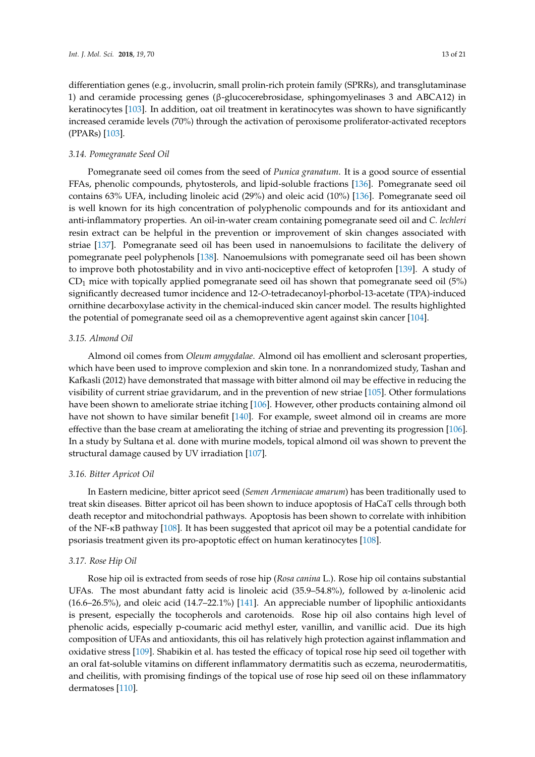differentiation genes (e.g., involucrin, small prolin-rich protein family (SPRRs), and transglutaminase 1) and ceramide processing genes (β-glucocerebrosidase, sphingomyelinases 3 and ABCA12) in keratinocytes [\[103\]](#page-19-23). In addition, oat oil treatment in keratinocytes was shown to have significantly increased ceramide levels (70%) through the activation of peroxisome proliferator-activated receptors (PPARs) [\[103\]](#page-19-23).

#### *3.14. Pomegranate Seed Oil*

Pomegranate seed oil comes from the seed of *Punica granatum*. It is a good source of essential FFAs, phenolic compounds, phytosterols, and lipid-soluble fractions [\[136\]](#page-20-13). Pomegranate seed oil contains 63% UFA, including linoleic acid (29%) and oleic acid (10%) [\[136\]](#page-20-13). Pomegranate seed oil is well known for its high concentration of polyphenolic compounds and for its antioxidant and anti-inflammatory properties. An oil-in-water cream containing pomegranate seed oil and *C. lechleri* resin extract can be helpful in the prevention or improvement of skin changes associated with striae [\[137\]](#page-20-14). Pomegranate seed oil has been used in nanoemulsions to facilitate the delivery of pomegranate peel polyphenols [\[138\]](#page-20-15). Nanoemulsions with pomegranate seed oil has been shown to improve both photostability and in vivo anti-nociceptive effect of ketoprofen [\[139\]](#page-20-16). A study of  $CD<sub>1</sub>$  mice with topically applied pomegranate seed oil has shown that pomegranate seed oil (5%) significantly decreased tumor incidence and 12-*O*-tetradecanoyl-phorbol-13-acetate (TPA)-induced ornithine decarboxylase activity in the chemical-induced skin cancer model. The results highlighted the potential of pomegranate seed oil as a chemopreventive agent against skin cancer [\[104\]](#page-19-24).

#### *3.15. Almond Oil*

Almond oil comes from *Oleum amygdalae*. Almond oil has emollient and sclerosant properties, which have been used to improve complexion and skin tone. In a nonrandomized study, Tashan and Kafkasli (2012) have demonstrated that massage with bitter almond oil may be effective in reducing the visibility of current striae gravidarum, and in the prevention of new striae [\[105\]](#page-19-25). Other formulations have been shown to ameliorate striae itching [\[106\]](#page-19-26). However, other products containing almond oil have not shown to have similar benefit [\[140\]](#page-20-17). For example, sweet almond oil in creams are more effective than the base cream at ameliorating the itching of striae and preventing its progression [\[106\]](#page-19-26). In a study by Sultana et al. done with murine models, topical almond oil was shown to prevent the structural damage caused by UV irradiation [\[107\]](#page-19-27).

#### *3.16. Bitter Apricot Oil*

In Eastern medicine, bitter apricot seed (*Semen Armeniacae amarum*) has been traditionally used to treat skin diseases. Bitter apricot oil has been shown to induce apoptosis of HaCaT cells through both death receptor and mitochondrial pathways. Apoptosis has been shown to correlate with inhibition of the NF-κB pathway [\[108\]](#page-19-28). It has been suggested that apricot oil may be a potential candidate for psoriasis treatment given its pro-apoptotic effect on human keratinocytes [\[108\]](#page-19-28).

#### *3.17. Rose Hip Oil*

Rose hip oil is extracted from seeds of rose hip (*Rosa canina* L.). Rose hip oil contains substantial UFAs. The most abundant fatty acid is linoleic acid (35.9–54.8%), followed by  $\alpha$ -linolenic acid (16.6–26.5%), and oleic acid (14.7–22.1%) [\[141\]](#page-20-18). An appreciable number of lipophilic antioxidants is present, especially the tocopherols and carotenoids. Rose hip oil also contains high level of phenolic acids, especially p-coumaric acid methyl ester, vanillin, and vanillic acid. Due its high composition of UFAs and antioxidants, this oil has relatively high protection against inflammation and oxidative stress [\[109\]](#page-19-29). Shabikin et al. has tested the efficacy of topical rose hip seed oil together with an oral fat-soluble vitamins on different inflammatory dermatitis such as eczema, neurodermatitis, and cheilitis, with promising findings of the topical use of rose hip seed oil on these inflammatory dermatoses [\[110\]](#page-19-30).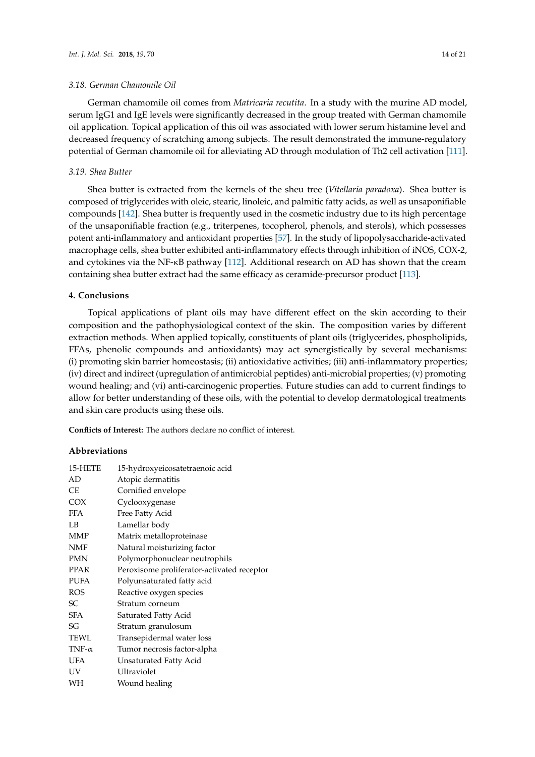#### *3.18. German Chamomile Oil*

German chamomile oil comes from *Matricaria recutita*. In a study with the murine AD model, serum IgG1 and IgE levels were significantly decreased in the group treated with German chamomile oil application. Topical application of this oil was associated with lower serum histamine level and decreased frequency of scratching among subjects. The result demonstrated the immune-regulatory potential of German chamomile oil for alleviating AD through modulation of Th2 cell activation [\[111\]](#page-19-31).

### *3.19. Shea Butter*

Shea butter is extracted from the kernels of the sheu tree (*Vitellaria paradoxa*). Shea butter is composed of triglycerides with oleic, stearic, linoleic, and palmitic fatty acids, as well as unsaponifiable compounds [\[142\]](#page-20-19). Shea butter is frequently used in the cosmetic industry due to its high percentage of the unsaponifiable fraction (e.g., triterpenes, tocopherol, phenols, and sterols), which possesses potent anti-inflammatory and antioxidant properties [\[57\]](#page-16-14). In the study of lipopolysaccharide-activated macrophage cells, shea butter exhibited anti-inflammatory effects through inhibition of iNOS, COX-2, and cytokines via the NF-κB pathway [\[112\]](#page-19-32). Additional research on AD has shown that the cream containing shea butter extract had the same efficacy as ceramide-precursor product [\[113\]](#page-19-33).

#### **4. Conclusions**

Topical applications of plant oils may have different effect on the skin according to their composition and the pathophysiological context of the skin. The composition varies by different extraction methods. When applied topically, constituents of plant oils (triglycerides, phospholipids, FFAs, phenolic compounds and antioxidants) may act synergistically by several mechanisms: (i) promoting skin barrier homeostasis; (ii) antioxidative activities; (iii) anti-inflammatory properties; (iv) direct and indirect (upregulation of antimicrobial peptides) anti-microbial properties; (v) promoting wound healing; and (vi) anti-carcinogenic properties. Future studies can add to current findings to allow for better understanding of these oils, with the potential to develop dermatological treatments and skin care products using these oils.

**Conflicts of Interest:** The authors declare no conflict of interest.

#### **Abbreviations**

| 15-HETE       | 15-hydroxyeicosatetraenoic acid            |
|---------------|--------------------------------------------|
| AD            | Atopic dermatitis                          |
| СE            | Cornified envelope                         |
| <b>COX</b>    | Cyclooxygenase                             |
| <b>FFA</b>    | Free Fatty Acid                            |
| LB            | Lamellar body                              |
| <b>MMP</b>    | Matrix metalloproteinase                   |
| NMF           | Natural moisturizing factor                |
| <b>PMN</b>    | Polymorphonuclear neutrophils              |
| <b>PPAR</b>   | Peroxisome proliferator-activated receptor |
| <b>PUFA</b>   | Polyunsaturated fatty acid                 |
| ROS           | Reactive oxygen species                    |
| SС            | Stratum corneum                            |
| SFA           | Saturated Fatty Acid                       |
| SG            | Stratum granulosum                         |
| TEWL          | Transepidermal water loss                  |
| TNF- $\alpha$ | Tumor necrosis factor-alpha                |
| <b>UFA</b>    | Unsaturated Fatty Acid                     |
| UV            | Ultraviolet                                |
| WН            | Wound healing                              |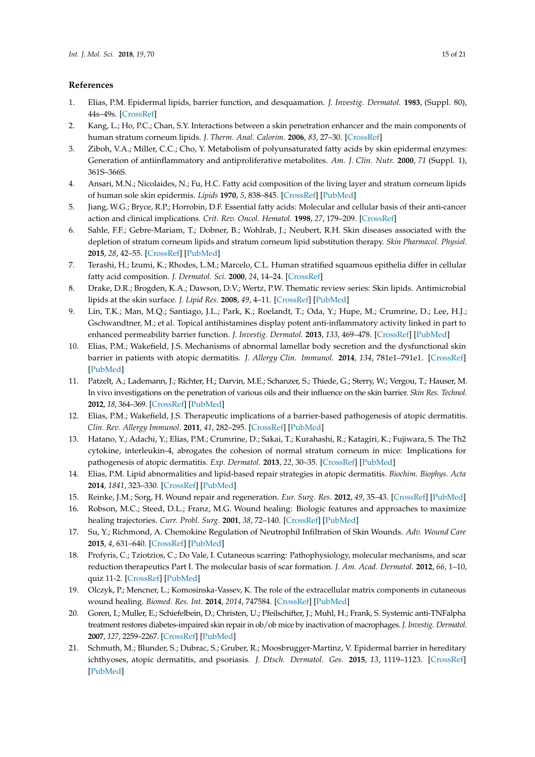## **References**

- <span id="page-14-0"></span>1. Elias, P.M. Epidermal lipids, barrier function, and desquamation. *J. Investig. Dermatol.* **1983**, (Suppl. 80), 44s–49s. [\[CrossRef\]](http://dx.doi.org/10.1038/jid.1983.12)
- <span id="page-14-1"></span>2. Kang, L.; Ho, P.C.; Chan, S.Y. Interactions between a skin penetration enhancer and the main components of human stratum corneum lipids. *J. Therm. Anal. Calorim.* **2006**, *83*, 27–30. [\[CrossRef\]](http://dx.doi.org/10.1007/s10973-005-7050-8)
- <span id="page-14-20"></span><span id="page-14-2"></span>3. Ziboh, V.A.; Miller, C.C.; Cho, Y. Metabolism of polyunsaturated fatty acids by skin epidermal enzymes: Generation of antiinflammatory and antiproliferative metabolites. *Am. J. Clin. Nutr.* **2000**, *71* (Suppl. 1), 361S–366S.
- <span id="page-14-3"></span>4. Ansari, M.N.; Nicolaides, N.; Fu, H.C. Fatty acid composition of the living layer and stratum corneum lipids of human sole skin epidermis. *Lipids* **1970**, *5*, 838–845. [\[CrossRef\]](http://dx.doi.org/10.1007/BF02531977) [\[PubMed\]](http://www.ncbi.nlm.nih.gov/pubmed/5488811)
- <span id="page-14-4"></span>5. Jiang, W.G.; Bryce, R.P.; Horrobin, D.F. Essential fatty acids: Molecular and cellular basis of their anti-cancer action and clinical implications. *Crit. Rev. Oncol. Hematol.* **1998**, *27*, 179–209. [\[CrossRef\]](http://dx.doi.org/10.1016/S1040-8428(98)00003-1)
- <span id="page-14-21"></span>6. Sahle, F.F.; Gebre-Mariam, T.; Dobner, B.; Wohlrab, J.; Neubert, R.H. Skin diseases associated with the depletion of stratum corneum lipids and stratum corneum lipid substitution therapy. *Skin Pharmacol. Physiol.* **2015**, *28*, 42–55. [\[CrossRef\]](http://dx.doi.org/10.1159/000360009) [\[PubMed\]](http://www.ncbi.nlm.nih.gov/pubmed/25196193)
- <span id="page-14-5"></span>7. Terashi, H.; Izumi, K.; Rhodes, L.M.; Marcelo, C.L. Human stratified squamous epithelia differ in cellular fatty acid composition. *J. Dermatol. Sci.* **2000**, *24*, 14–24. [\[CrossRef\]](http://dx.doi.org/10.1016/S0923-1811(00)00077-3)
- <span id="page-14-6"></span>8. Drake, D.R.; Brogden, K.A.; Dawson, D.V.; Wertz, P.W. Thematic review series: Skin lipids. Antimicrobial lipids at the skin surface. *J. Lipid Res.* **2008**, *49*, 4–11. [\[CrossRef\]](http://dx.doi.org/10.1194/jlr.R700016-JLR200) [\[PubMed\]](http://www.ncbi.nlm.nih.gov/pubmed/17906220)
- <span id="page-14-7"></span>9. Lin, T.K.; Man, M.Q.; Santiago, J.L.; Park, K.; Roelandt, T.; Oda, Y.; Hupe, M.; Crumrine, D.; Lee, H.J.; Gschwandtner, M.; et al. Topical antihistamines display potent anti-inflammatory activity linked in part to enhanced permeability barrier function. *J. Investig. Dermatol.* **2013**, *133*, 469–478. [\[CrossRef\]](http://dx.doi.org/10.1038/jid.2012.335) [\[PubMed\]](http://www.ncbi.nlm.nih.gov/pubmed/23014339)
- <span id="page-14-8"></span>10. Elias, P.M.; Wakefield, J.S. Mechanisms of abnormal lamellar body secretion and the dysfunctional skin barrier in patients with atopic dermatitis. *J. Allergy Clin. Immunol.* **2014**, *134*, 781e1–791e1. [\[CrossRef\]](http://dx.doi.org/10.1016/j.jaci.2014.05.048) [\[PubMed\]](http://www.ncbi.nlm.nih.gov/pubmed/25131691)
- <span id="page-14-9"></span>11. Patzelt, A.; Lademann, J.; Richter, H.; Darvin, M.E.; Schanzer, S.; Thiede, G.; Sterry, W.; Vergou, T.; Hauser, M. In vivo investigations on the penetration of various oils and their influence on the skin barrier. *Skin Res. Technol.* **2012**, *18*, 364–369. [\[CrossRef\]](http://dx.doi.org/10.1111/j.1600-0846.2011.00578.x) [\[PubMed\]](http://www.ncbi.nlm.nih.gov/pubmed/22092829)
- <span id="page-14-10"></span>12. Elias, P.M.; Wakefield, J.S. Therapeutic implications of a barrier-based pathogenesis of atopic dermatitis. *Clin. Rev. Allergy Immunol.* **2011**, *41*, 282–295. [\[CrossRef\]](http://dx.doi.org/10.1007/s12016-010-8231-1) [\[PubMed\]](http://www.ncbi.nlm.nih.gov/pubmed/21174234)
- <span id="page-14-11"></span>13. Hatano, Y.; Adachi, Y.; Elias, P.M.; Crumrine, D.; Sakai, T.; Kurahashi, R.; Katagiri, K.; Fujiwara, S. The Th2 cytokine, interleukin-4, abrogates the cohesion of normal stratum corneum in mice: Implications for pathogenesis of atopic dermatitis. *Exp. Dermatol.* **2013**, *22*, 30–35. [\[CrossRef\]](http://dx.doi.org/10.1111/exd.12047) [\[PubMed\]](http://www.ncbi.nlm.nih.gov/pubmed/23173934)
- <span id="page-14-12"></span>14. Elias, P.M. Lipid abnormalities and lipid-based repair strategies in atopic dermatitis. *Biochim. Biophys. Acta* **2014**, *1841*, 323–330. [\[CrossRef\]](http://dx.doi.org/10.1016/j.bbalip.2013.10.001) [\[PubMed\]](http://www.ncbi.nlm.nih.gov/pubmed/24128970)
- <span id="page-14-13"></span>15. Reinke, J.M.; Sorg, H. Wound repair and regeneration. *Eur. Surg. Res.* **2012**, *49*, 35–43. [\[CrossRef\]](http://dx.doi.org/10.1159/000339613) [\[PubMed\]](http://www.ncbi.nlm.nih.gov/pubmed/22797712)
- <span id="page-14-14"></span>16. Robson, M.C.; Steed, D.L.; Franz, M.G. Wound healing: Biologic features and approaches to maximize healing trajectories. *Curr. Probl. Surg.* **2001**, *38*, 72–140. [\[CrossRef\]](http://dx.doi.org/10.1067/msg.2001.111167) [\[PubMed\]](http://www.ncbi.nlm.nih.gov/pubmed/11452260)
- <span id="page-14-15"></span>17. Su, Y.; Richmond, A. Chemokine Regulation of Neutrophil Infiltration of Skin Wounds. *Adv. Wound Care* **2015**, *4*, 631–640. [\[CrossRef\]](http://dx.doi.org/10.1089/wound.2014.0559) [\[PubMed\]](http://www.ncbi.nlm.nih.gov/pubmed/26543677)
- <span id="page-14-16"></span>18. Profyris, C.; Tziotzios, C.; Do Vale, I. Cutaneous scarring: Pathophysiology, molecular mechanisms, and scar reduction therapeutics Part I. The molecular basis of scar formation. *J. Am. Acad. Dermatol.* **2012**, *66*, 1–10, quiz 11-2. [\[CrossRef\]](http://dx.doi.org/10.1016/j.jaad.2011.05.055) [\[PubMed\]](http://www.ncbi.nlm.nih.gov/pubmed/22177631)
- <span id="page-14-17"></span>19. Olczyk, P.; Mencner, L.; Komosinska-Vassev, K. The role of the extracellular matrix components in cutaneous wound healing. *Biomed. Res. Int.* **2014**, *2014*, 747584. [\[CrossRef\]](http://dx.doi.org/10.1155/2014/747584) [\[PubMed\]](http://www.ncbi.nlm.nih.gov/pubmed/24772435)
- <span id="page-14-18"></span>20. Goren, I.; Muller, E.; Schiefelbein, D.; Christen, U.; Pfeilschifter, J.; Muhl, H.; Frank, S. Systemic anti-TNFalpha treatment restores diabetes-impaired skin repair in ob/ob mice by inactivation of macrophages. *J. Investig. Dermatol.* **2007**, *127*, 2259–2267. [\[CrossRef\]](http://dx.doi.org/10.1038/sj.jid.5700842) [\[PubMed\]](http://www.ncbi.nlm.nih.gov/pubmed/17460730)
- <span id="page-14-19"></span>21. Schmuth, M.; Blunder, S.; Dubrac, S.; Gruber, R.; Moosbrugger-Martinz, V. Epidermal barrier in hereditary ichthyoses, atopic dermatitis, and psoriasis. *J. Dtsch. Dermatol. Ges.* **2015**, *13*, 1119–1123. [\[CrossRef\]](http://dx.doi.org/10.1111/ddg.12827) [\[PubMed\]](http://www.ncbi.nlm.nih.gov/pubmed/26513068)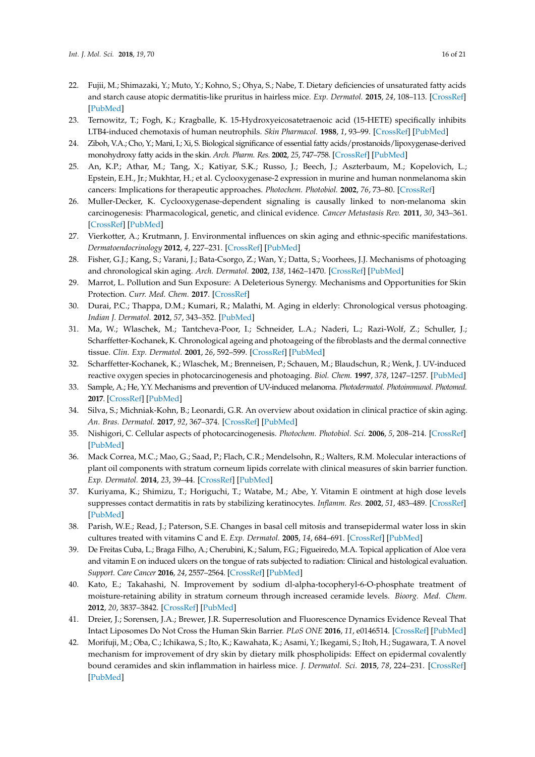- <span id="page-15-0"></span>22. Fujii, M.; Shimazaki, Y.; Muto, Y.; Kohno, S.; Ohya, S.; Nabe, T. Dietary deficiencies of unsaturated fatty acids and starch cause atopic dermatitis-like pruritus in hairless mice. *Exp. Dermatol.* **2015**, *24*, 108–113. [\[CrossRef\]](http://dx.doi.org/10.1111/exd.12592) [\[PubMed\]](http://www.ncbi.nlm.nih.gov/pubmed/25387853)
- <span id="page-15-1"></span>23. Ternowitz, T.; Fogh, K.; Kragballe, K. 15-Hydroxyeicosatetraenoic acid (15-HETE) specifically inhibits LTB4-induced chemotaxis of human neutrophils. *Skin Pharmacol.* **1988**, *1*, 93–99. [\[CrossRef\]](http://dx.doi.org/10.1159/000210754) [\[PubMed\]](http://www.ncbi.nlm.nih.gov/pubmed/2856182)
- <span id="page-15-2"></span>24. Ziboh, V.A.; Cho, Y.; Mani, I.; Xi, S. Biological significance of essential fatty acids/prostanoids/lipoxygenase-derived monohydroxy fatty acids in the skin. *Arch. Pharm. Res.* **2002**, *25*, 747–758. [\[CrossRef\]](http://dx.doi.org/10.1007/BF02976988) [\[PubMed\]](http://www.ncbi.nlm.nih.gov/pubmed/12510822)
- <span id="page-15-3"></span>25. An, K.P.; Athar, M.; Tang, X.; Katiyar, S.K.; Russo, J.; Beech, J.; Aszterbaum, M.; Kopelovich, L.; Epstein, E.H., Jr.; Mukhtar, H.; et al. Cyclooxygenase-2 expression in murine and human nonmelanoma skin cancers: Implications for therapeutic approaches. *Photochem. Photobiol.* **2002**, *76*, 73–80. [\[CrossRef\]](http://dx.doi.org/10.1562/0031-8655(2002)076<0073:CEIMAH>2.0.CO;2)
- <span id="page-15-4"></span>26. Muller-Decker, K. Cyclooxygenase-dependent signaling is causally linked to non-melanoma skin carcinogenesis: Pharmacological, genetic, and clinical evidence. *Cancer Metastasis Rev.* **2011**, *30*, 343–361. [\[CrossRef\]](http://dx.doi.org/10.1007/s10555-011-9306-z) [\[PubMed\]](http://www.ncbi.nlm.nih.gov/pubmed/22038018)
- <span id="page-15-5"></span>27. Vierkotter, A.; Krutmann, J. Environmental influences on skin aging and ethnic-specific manifestations. *Dermatoendocrinology* **2012**, *4*, 227–231. [\[CrossRef\]](http://dx.doi.org/10.4161/derm.19858) [\[PubMed\]](http://www.ncbi.nlm.nih.gov/pubmed/23467702)
- <span id="page-15-6"></span>28. Fisher, G.J.; Kang, S.; Varani, J.; Bata-Csorgo, Z.; Wan, Y.; Datta, S.; Voorhees, J.J. Mechanisms of photoaging and chronological skin aging. *Arch. Dermatol.* **2002**, *138*, 1462–1470. [\[CrossRef\]](http://dx.doi.org/10.1001/archderm.138.11.1462) [\[PubMed\]](http://www.ncbi.nlm.nih.gov/pubmed/12437452)
- <span id="page-15-7"></span>29. Marrot, L. Pollution and Sun Exposure: A Deleterious Synergy. Mechanisms and Opportunities for Skin Protection. *Curr. Med. Chem.* **2017**. [\[CrossRef\]](http://dx.doi.org/10.2174/0929867324666170918123907)
- <span id="page-15-8"></span>30. Durai, P.C.; Thappa, D.M.; Kumari, R.; Malathi, M. Aging in elderly: Chronological versus photoaging. *Indian J. Dermatol.* **2012**, *57*, 343–352. [\[PubMed\]](http://www.ncbi.nlm.nih.gov/pubmed/23112352)
- <span id="page-15-9"></span>31. Ma, W.; Wlaschek, M.; Tantcheva-Poor, I.; Schneider, L.A.; Naderi, L.; Razi-Wolf, Z.; Schuller, J.; Scharffetter-Kochanek, K. Chronological ageing and photoageing of the fibroblasts and the dermal connective tissue. *Clin. Exp. Dermatol.* **2001**, *26*, 592–599. [\[CrossRef\]](http://dx.doi.org/10.1046/j.1365-2230.2001.00905.x) [\[PubMed\]](http://www.ncbi.nlm.nih.gov/pubmed/11696063)
- <span id="page-15-10"></span>32. Scharffetter-Kochanek, K.; Wlaschek, M.; Brenneisen, P.; Schauen, M.; Blaudschun, R.; Wenk, J. UV-induced reactive oxygen species in photocarcinogenesis and photoaging. *Biol. Chem.* **1997**, *378*, 1247–1257. [\[PubMed\]](http://www.ncbi.nlm.nih.gov/pubmed/9426184)
- <span id="page-15-11"></span>33. Sample, A.; He, Y.Y. Mechanisms and prevention of UV-induced melanoma. *Photodermatol. Photoimmunol. Photomed.* **2017**. [\[CrossRef\]](http://dx.doi.org/10.1111/phpp.12329) [\[PubMed\]](http://www.ncbi.nlm.nih.gov/pubmed/28703311)
- 34. Silva, S.; Michniak-Kohn, B.; Leonardi, G.R. An overview about oxidation in clinical practice of skin aging. *An. Bras. Dermatol.* **2017**, *92*, 367–374. [\[CrossRef\]](http://dx.doi.org/10.1590/abd1806-4841.20175481) [\[PubMed\]](http://www.ncbi.nlm.nih.gov/pubmed/29186250)
- <span id="page-15-12"></span>35. Nishigori, C. Cellular aspects of photocarcinogenesis. *Photochem. Photobiol. Sci.* **2006**, *5*, 208–214. [\[CrossRef\]](http://dx.doi.org/10.1039/B507471A) [\[PubMed\]](http://www.ncbi.nlm.nih.gov/pubmed/16465307)
- <span id="page-15-13"></span>36. Mack Correa, M.C.; Mao, G.; Saad, P.; Flach, C.R.; Mendelsohn, R.; Walters, R.M. Molecular interactions of plant oil components with stratum corneum lipids correlate with clinical measures of skin barrier function. *Exp. Dermatol.* **2014**, *23*, 39–44. [\[CrossRef\]](http://dx.doi.org/10.1111/exd.12296) [\[PubMed\]](http://www.ncbi.nlm.nih.gov/pubmed/24372651)
- <span id="page-15-14"></span>37. Kuriyama, K.; Shimizu, T.; Horiguchi, T.; Watabe, M.; Abe, Y. Vitamin E ointment at high dose levels suppresses contact dermatitis in rats by stabilizing keratinocytes. *Inflamm. Res.* **2002**, *51*, 483–489. [\[CrossRef\]](http://dx.doi.org/10.1007/PL00012416) [\[PubMed\]](http://www.ncbi.nlm.nih.gov/pubmed/12477076)
- 38. Parish, W.E.; Read, J.; Paterson, S.E. Changes in basal cell mitosis and transepidermal water loss in skin cultures treated with vitamins C and E. *Exp. Dermatol.* **2005**, *14*, 684–691. [\[CrossRef\]](http://dx.doi.org/10.1111/j.0906-6705.2005.00340.x) [\[PubMed\]](http://www.ncbi.nlm.nih.gov/pubmed/16098128)
- <span id="page-15-15"></span>39. De Freitas Cuba, L.; Braga Filho, A.; Cherubini, K.; Salum, F.G.; Figueiredo, M.A. Topical application of Aloe vera and vitamin E on induced ulcers on the tongue of rats subjected to radiation: Clinical and histological evaluation. *Support. Care Cancer* **2016**, *24*, 2557–2564. [\[CrossRef\]](http://dx.doi.org/10.1007/s00520-015-3048-3) [\[PubMed\]](http://www.ncbi.nlm.nih.gov/pubmed/26698599)
- <span id="page-15-16"></span>40. Kato, E.; Takahashi, N. Improvement by sodium dl-alpha-tocopheryl-6-O-phosphate treatment of moisture-retaining ability in stratum corneum through increased ceramide levels. *Bioorg. Med. Chem.* **2012**, *20*, 3837–3842. [\[CrossRef\]](http://dx.doi.org/10.1016/j.bmc.2012.04.029) [\[PubMed\]](http://www.ncbi.nlm.nih.gov/pubmed/22579618)
- <span id="page-15-17"></span>41. Dreier, J.; Sorensen, J.A.; Brewer, J.R. Superresolution and Fluorescence Dynamics Evidence Reveal That Intact Liposomes Do Not Cross the Human Skin Barrier. *PLoS ONE* **2016**, *11*, e0146514. [\[CrossRef\]](http://dx.doi.org/10.1371/journal.pone.0146514) [\[PubMed\]](http://www.ncbi.nlm.nih.gov/pubmed/26751684)
- <span id="page-15-18"></span>42. Morifuji, M.; Oba, C.; Ichikawa, S.; Ito, K.; Kawahata, K.; Asami, Y.; Ikegami, S.; Itoh, H.; Sugawara, T. A novel mechanism for improvement of dry skin by dietary milk phospholipids: Effect on epidermal covalently bound ceramides and skin inflammation in hairless mice. *J. Dermatol. Sci.* **2015**, *78*, 224–231. [\[CrossRef\]](http://dx.doi.org/10.1016/j.jdermsci.2015.02.017) [\[PubMed\]](http://www.ncbi.nlm.nih.gov/pubmed/25816721)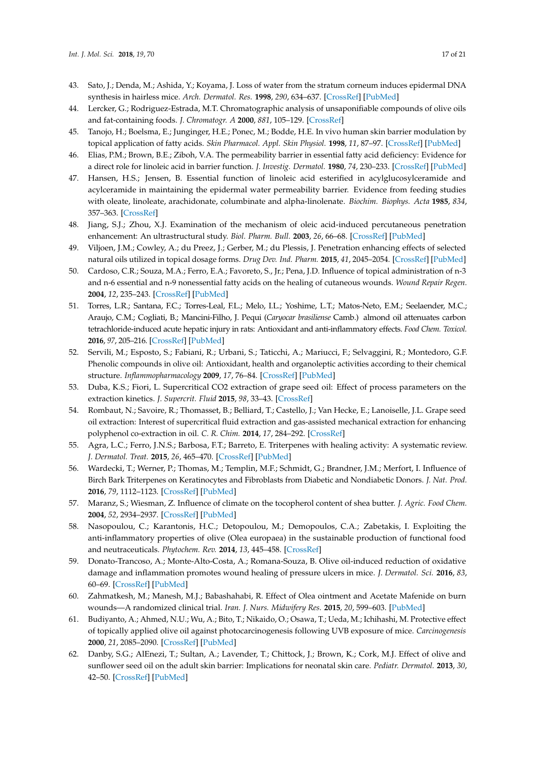- <span id="page-16-15"></span><span id="page-16-0"></span>43. Sato, J.; Denda, M.; Ashida, Y.; Koyama, J. Loss of water from the stratum corneum induces epidermal DNA synthesis in hairless mice. *Arch. Dermatol. Res.* **1998**, *290*, 634–637. [\[CrossRef\]](http://dx.doi.org/10.1007/s004030050364) [\[PubMed\]](http://www.ncbi.nlm.nih.gov/pubmed/9860285)
- <span id="page-16-1"></span>44. Lercker, G.; Rodriguez-Estrada, M.T. Chromatographic analysis of unsaponifiable compounds of olive oils and fat-containing foods. *J. Chromatogr. A* **2000**, *881*, 105–129. [\[CrossRef\]](http://dx.doi.org/10.1016/S0021-9673(00)00455-6)
- <span id="page-16-2"></span>45. Tanojo, H.; Boelsma, E.; Junginger, H.E.; Ponec, M.; Bodde, H.E. In vivo human skin barrier modulation by topical application of fatty acids. *Skin Pharmacol. Appl. Skin Physiol.* **1998**, *11*, 87–97. [\[CrossRef\]](http://dx.doi.org/10.1159/000029813) [\[PubMed\]](http://www.ncbi.nlm.nih.gov/pubmed/9603659)
- <span id="page-16-3"></span>46. Elias, P.M.; Brown, B.E.; Ziboh, V.A. The permeability barrier in essential fatty acid deficiency: Evidence for a direct role for linoleic acid in barrier function. *J. Investig. Dermatol.* **1980**, *74*, 230–233. [\[CrossRef\]](http://dx.doi.org/10.1111/1523-1747.ep12541775) [\[PubMed\]](http://www.ncbi.nlm.nih.gov/pubmed/7373078)
- <span id="page-16-4"></span>47. Hansen, H.S.; Jensen, B. Essential function of linoleic acid esterified in acylglucosylceramide and acylceramide in maintaining the epidermal water permeability barrier. Evidence from feeding studies with oleate, linoleate, arachidonate, columbinate and alpha-linolenate. *Biochim. Biophys. Acta* **1985**, *834*, 357–363. [\[CrossRef\]](http://dx.doi.org/10.1016/0005-2760(85)90009-8)
- <span id="page-16-5"></span>48. Jiang, S.J.; Zhou, X.J. Examination of the mechanism of oleic acid-induced percutaneous penetration enhancement: An ultrastructural study. *Biol. Pharm. Bull.* **2003**, *26*, 66–68. [\[CrossRef\]](http://dx.doi.org/10.1248/bpb.26.66) [\[PubMed\]](http://www.ncbi.nlm.nih.gov/pubmed/12520175)
- <span id="page-16-6"></span>49. Viljoen, J.M.; Cowley, A.; du Preez, J.; Gerber, M.; du Plessis, J. Penetration enhancing effects of selected natural oils utilized in topical dosage forms. *Drug Dev. Ind. Pharm.* **2015**, *41*, 2045–2054. [\[CrossRef\]](http://dx.doi.org/10.3109/03639045.2015.1047847) [\[PubMed\]](http://www.ncbi.nlm.nih.gov/pubmed/26161938)
- <span id="page-16-7"></span>50. Cardoso, C.R.; Souza, M.A.; Ferro, E.A.; Favoreto, S., Jr.; Pena, J.D. Influence of topical administration of n-3 and n-6 essential and n-9 nonessential fatty acids on the healing of cutaneous wounds. *Wound Repair Regen.* **2004**, *12*, 235–243. [\[CrossRef\]](http://dx.doi.org/10.1111/j.1067-1927.2004.012216.x) [\[PubMed\]](http://www.ncbi.nlm.nih.gov/pubmed/15086775)
- <span id="page-16-8"></span>51. Torres, L.R.; Santana, F.C.; Torres-Leal, F.L.; Melo, I.L.; Yoshime, L.T.; Matos-Neto, E.M.; Seelaender, M.C.; Araujo, C.M.; Cogliati, B.; Mancini-Filho, J. Pequi (*Caryocar brasiliense* Camb.) almond oil attenuates carbon tetrachloride-induced acute hepatic injury in rats: Antioxidant and anti-inflammatory effects. *Food Chem. Toxicol.* **2016**, *97*, 205–216. [\[CrossRef\]](http://dx.doi.org/10.1016/j.fct.2016.09.009) [\[PubMed\]](http://www.ncbi.nlm.nih.gov/pubmed/27623180)
- <span id="page-16-17"></span><span id="page-16-16"></span><span id="page-16-9"></span>52. Servili, M.; Esposto, S.; Fabiani, R.; Urbani, S.; Taticchi, A.; Mariucci, F.; Selvaggini, R.; Montedoro, G.F. Phenolic compounds in olive oil: Antioxidant, health and organoleptic activities according to their chemical structure. *Inflammopharmacology* **2009**, *17*, 76–84. [\[CrossRef\]](http://dx.doi.org/10.1007/s10787-008-8014-y) [\[PubMed\]](http://www.ncbi.nlm.nih.gov/pubmed/19234678)
- <span id="page-16-18"></span><span id="page-16-10"></span>53. Duba, K.S.; Fiori, L. Supercritical CO2 extraction of grape seed oil: Effect of process parameters on the extraction kinetics. *J. Supercrit. Fluid* **2015**, *98*, 33–43. [\[CrossRef\]](http://dx.doi.org/10.1016/j.supflu.2014.12.021)
- <span id="page-16-19"></span><span id="page-16-11"></span>54. Rombaut, N.; Savoire, R.; Thomasset, B.; Belliard, T.; Castello, J.; Van Hecke, E.; Lanoiselle, J.L. Grape seed oil extraction: Interest of supercritical fluid extraction and gas-assisted mechanical extraction for enhancing polyphenol co-extraction in oil. *C. R. Chim.* **2014**, *17*, 284–292. [\[CrossRef\]](http://dx.doi.org/10.1016/j.crci.2013.11.014)
- <span id="page-16-12"></span>55. Agra, L.C.; Ferro, J.N.S.; Barbosa, F.T.; Barreto, E. Triterpenes with healing activity: A systematic review. *J. Dermatol. Treat.* **2015**, *26*, 465–470. [\[CrossRef\]](http://dx.doi.org/10.3109/09546634.2015.1021663) [\[PubMed\]](http://www.ncbi.nlm.nih.gov/pubmed/25893368)
- <span id="page-16-13"></span>56. Wardecki, T.; Werner, P.; Thomas, M.; Templin, M.F.; Schmidt, G.; Brandner, J.M.; Merfort, I. Influence of Birch Bark Triterpenes on Keratinocytes and Fibroblasts from Diabetic and Nondiabetic Donors. *J. Nat. Prod.* **2016**, *79*, 1112–1123. [\[CrossRef\]](http://dx.doi.org/10.1021/acs.jnatprod.6b00027) [\[PubMed\]](http://www.ncbi.nlm.nih.gov/pubmed/27002382)
- <span id="page-16-14"></span>57. Maranz, S.; Wiesman, Z. Influence of climate on the tocopherol content of shea butter. *J. Agric. Food Chem.* **2004**, *52*, 2934–2937. [\[CrossRef\]](http://dx.doi.org/10.1021/jf035194r) [\[PubMed\]](http://www.ncbi.nlm.nih.gov/pubmed/15137838)
- <span id="page-16-20"></span>58. Nasopoulou, C.; Karantonis, H.C.; Detopoulou, M.; Demopoulos, C.A.; Zabetakis, I. Exploiting the anti-inflammatory properties of olive (Olea europaea) in the sustainable production of functional food and neutraceuticals. *Phytochem. Rev.* **2014**, *13*, 445–458. [\[CrossRef\]](http://dx.doi.org/10.1007/s11101-014-9350-8)
- <span id="page-16-21"></span>59. Donato-Trancoso, A.; Monte-Alto-Costa, A.; Romana-Souza, B. Olive oil-induced reduction of oxidative damage and inflammation promotes wound healing of pressure ulcers in mice. *J. Dermatol. Sci.* **2016**, *83*, 60–69. [\[CrossRef\]](http://dx.doi.org/10.1016/j.jdermsci.2016.03.012) [\[PubMed\]](http://www.ncbi.nlm.nih.gov/pubmed/27091748)
- <span id="page-16-22"></span>60. Zahmatkesh, M.; Manesh, M.J.; Babashahabi, R. Effect of Olea ointment and Acetate Mafenide on burn wounds—A randomized clinical trial. *Iran. J. Nurs. Midwifery Res.* **2015**, *20*, 599–603. [\[PubMed\]](http://www.ncbi.nlm.nih.gov/pubmed/26457099)
- <span id="page-16-23"></span>61. Budiyanto, A.; Ahmed, N.U.; Wu, A.; Bito, T.; Nikaido, O.; Osawa, T.; Ueda, M.; Ichihashi, M. Protective effect of topically applied olive oil against photocarcinogenesis following UVB exposure of mice. *Carcinogenesis* **2000**, *21*, 2085–2090. [\[CrossRef\]](http://dx.doi.org/10.1093/carcin/21.11.2085) [\[PubMed\]](http://www.ncbi.nlm.nih.gov/pubmed/11062172)
- <span id="page-16-24"></span>62. Danby, S.G.; AlEnezi, T.; Sultan, A.; Lavender, T.; Chittock, J.; Brown, K.; Cork, M.J. Effect of olive and sunflower seed oil on the adult skin barrier: Implications for neonatal skin care. *Pediatr. Dermatol.* **2013**, *30*, 42–50. [\[CrossRef\]](http://dx.doi.org/10.1111/j.1525-1470.2012.01865.x) [\[PubMed\]](http://www.ncbi.nlm.nih.gov/pubmed/22995032)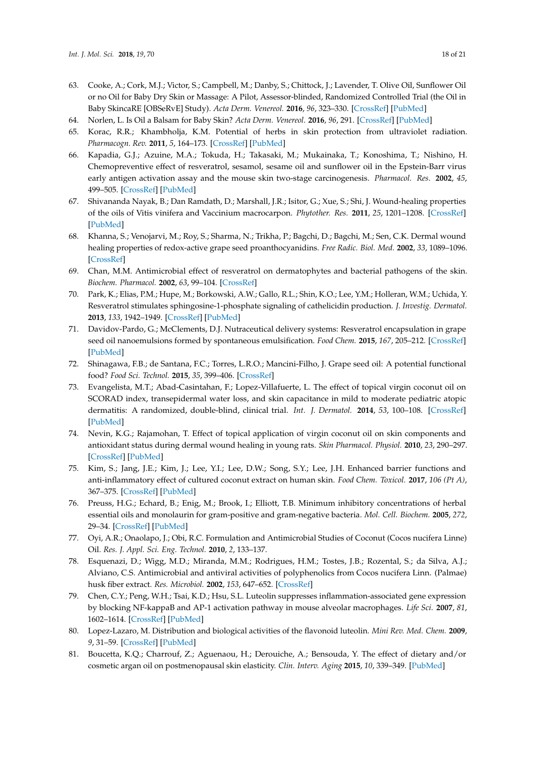- <span id="page-17-19"></span><span id="page-17-8"></span><span id="page-17-7"></span><span id="page-17-6"></span><span id="page-17-5"></span><span id="page-17-4"></span><span id="page-17-3"></span><span id="page-17-2"></span><span id="page-17-1"></span><span id="page-17-0"></span>63. Cooke, A.; Cork, M.J.; Victor, S.; Campbell, M.; Danby, S.; Chittock, J.; Lavender, T. Olive Oil, Sunflower Oil or no Oil for Baby Dry Skin or Massage: A Pilot, Assessor-blinded, Randomized Controlled Trial (the Oil in Baby SkincaRE [OBSeRvE] Study). *Acta Derm. Venereol.* **2016**, *96*, 323–330. [\[CrossRef\]](http://dx.doi.org/10.2340/00015555-2279) [\[PubMed\]](http://www.ncbi.nlm.nih.gov/pubmed/26551528)
- <span id="page-17-20"></span>64. Norlen, L. Is Oil a Balsam for Baby Skin? *Acta Derm. Venereol.* **2016**, *96*, 291. [\[CrossRef\]](http://dx.doi.org/10.2340/00015555-2313) [\[PubMed\]](http://www.ncbi.nlm.nih.gov/pubmed/26661909)
- <span id="page-17-30"></span><span id="page-17-9"></span>65. Korac, R.R.; Khambholja, K.M. Potential of herbs in skin protection from ultraviolet radiation. *Pharmacogn. Rev.* **2011**, *5*, 164–173. [\[CrossRef\]](http://dx.doi.org/10.4103/0973-7847.91114) [\[PubMed\]](http://www.ncbi.nlm.nih.gov/pubmed/22279374)
- <span id="page-17-21"></span><span id="page-17-10"></span>66. Kapadia, G.J.; Azuine, M.A.; Tokuda, H.; Takasaki, M.; Mukainaka, T.; Konoshima, T.; Nishino, H. Chemopreventive effect of resveratrol, sesamol, sesame oil and sunflower oil in the Epstein-Barr virus early antigen activation assay and the mouse skin two-stage carcinogenesis. *Pharmacol. Res.* **2002**, *45*, 499–505. [\[CrossRef\]](http://dx.doi.org/10.1006/phrs.2002.0992) [\[PubMed\]](http://www.ncbi.nlm.nih.gov/pubmed/12162952)
- <span id="page-17-22"></span><span id="page-17-11"></span>67. Shivananda Nayak, B.; Dan Ramdath, D.; Marshall, J.R.; Isitor, G.; Xue, S.; Shi, J. Wound-healing properties of the oils of Vitis vinifera and Vaccinium macrocarpon. *Phytother. Res.* **2011**, *25*, 1201–1208. [\[CrossRef\]](http://dx.doi.org/10.1002/ptr.3363) [\[PubMed\]](http://www.ncbi.nlm.nih.gov/pubmed/21305631)
- <span id="page-17-23"></span><span id="page-17-12"></span>68. Khanna, S.; Venojarvi, M.; Roy, S.; Sharma, N.; Trikha, P.; Bagchi, D.; Bagchi, M.; Sen, C.K. Dermal wound healing properties of redox-active grape seed proanthocyanidins. *Free Radic. Biol. Med.* **2002**, *33*, 1089–1096. [\[CrossRef\]](http://dx.doi.org/10.1016/S0891-5849(02)00999-1)
- <span id="page-17-24"></span><span id="page-17-13"></span>69. Chan, M.M. Antimicrobial effect of resveratrol on dermatophytes and bacterial pathogens of the skin. *Biochem. Pharmacol.* **2002**, *63*, 99–104. [\[CrossRef\]](http://dx.doi.org/10.1016/S0006-2952(01)00886-3)
- <span id="page-17-25"></span>70. Park, K.; Elias, P.M.; Hupe, M.; Borkowski, A.W.; Gallo, R.L.; Shin, K.O.; Lee, Y.M.; Holleran, W.M.; Uchida, Y. Resveratrol stimulates sphingosine-1-phosphate signaling of cathelicidin production. *J. Investig. Dermatol.* **2013**, *133*, 1942–1949. [\[CrossRef\]](http://dx.doi.org/10.1038/jid.2013.133) [\[PubMed\]](http://www.ncbi.nlm.nih.gov/pubmed/23856934)
- <span id="page-17-26"></span><span id="page-17-15"></span><span id="page-17-14"></span>71. Davidov-Pardo, G.; McClements, D.J. Nutraceutical delivery systems: Resveratrol encapsulation in grape seed oil nanoemulsions formed by spontaneous emulsification. *Food Chem.* **2015**, *167*, 205–212. [\[CrossRef\]](http://dx.doi.org/10.1016/j.foodchem.2014.06.082) [\[PubMed\]](http://www.ncbi.nlm.nih.gov/pubmed/25148980)
- <span id="page-17-27"></span><span id="page-17-16"></span>72. Shinagawa, F.B.; de Santana, F.C.; Torres, L.R.O.; Mancini-Filho, J. Grape seed oil: A potential functional food? *Food Sci. Technol.* **2015**, *35*, 399–406. [\[CrossRef\]](http://dx.doi.org/10.1590/1678-457X.6826)
- <span id="page-17-28"></span><span id="page-17-17"></span>73. Evangelista, M.T.; Abad-Casintahan, F.; Lopez-Villafuerte, L. The effect of topical virgin coconut oil on SCORAD index, transepidermal water loss, and skin capacitance in mild to moderate pediatric atopic dermatitis: A randomized, double-blind, clinical trial. *Int. J. Dermatol.* **2014**, *53*, 100–108. [\[CrossRef\]](http://dx.doi.org/10.1111/ijd.12339) [\[PubMed\]](http://www.ncbi.nlm.nih.gov/pubmed/24320105)
- <span id="page-17-18"></span>74. Nevin, K.G.; Rajamohan, T. Effect of topical application of virgin coconut oil on skin components and antioxidant status during dermal wound healing in young rats. *Skin Pharmacol. Physiol.* **2010**, *23*, 290–297. [\[CrossRef\]](http://dx.doi.org/10.1159/000313516) [\[PubMed\]](http://www.ncbi.nlm.nih.gov/pubmed/20523108)
- <span id="page-17-29"></span>75. Kim, S.; Jang, J.E.; Kim, J.; Lee, Y.I.; Lee, D.W.; Song, S.Y.; Lee, J.H. Enhanced barrier functions and anti-inflammatory effect of cultured coconut extract on human skin. *Food Chem. Toxicol.* **2017**, *106 (Pt A)*, 367–375. [\[CrossRef\]](http://dx.doi.org/10.1016/j.fct.2017.05.060) [\[PubMed\]](http://www.ncbi.nlm.nih.gov/pubmed/28564614)
- <span id="page-17-31"></span>76. Preuss, H.G.; Echard, B.; Enig, M.; Brook, I.; Elliott, T.B. Minimum inhibitory concentrations of herbal essential oils and monolaurin for gram-positive and gram-negative bacteria. *Mol. Cell. Biochem.* **2005**, *272*, 29–34. [\[CrossRef\]](http://dx.doi.org/10.1007/s11010-005-6604-1) [\[PubMed\]](http://www.ncbi.nlm.nih.gov/pubmed/16010969)
- <span id="page-17-32"></span>77. Oyi, A.R.; Onaolapo, J.; Obi, R.C. Formulation and Antimicrobial Studies of Coconut (Cocos nucifera Linne) Oil. *Res. J. Appl. Sci. Eng. Technol.* **2010**, *2*, 133–137.
- <span id="page-17-33"></span>78. Esquenazi, D.; Wigg, M.D.; Miranda, M.M.; Rodrigues, H.M.; Tostes, J.B.; Rozental, S.; da Silva, A.J.; Alviano, C.S. Antimicrobial and antiviral activities of polyphenolics from Cocos nucifera Linn. (Palmae) husk fiber extract. *Res. Microbiol.* **2002**, *153*, 647–652. [\[CrossRef\]](http://dx.doi.org/10.1016/S0923-2508(02)01377-3)
- <span id="page-17-34"></span>79. Chen, C.Y.; Peng, W.H.; Tsai, K.D.; Hsu, S.L. Luteolin suppresses inflammation-associated gene expression by blocking NF-kappaB and AP-1 activation pathway in mouse alveolar macrophages. *Life Sci.* **2007**, *81*, 1602–1614. [\[CrossRef\]](http://dx.doi.org/10.1016/j.lfs.2007.09.028) [\[PubMed\]](http://www.ncbi.nlm.nih.gov/pubmed/17977562)
- <span id="page-17-35"></span>80. Lopez-Lazaro, M. Distribution and biological activities of the flavonoid luteolin. *Mini Rev. Med. Chem.* **2009**, *9*, 31–59. [\[CrossRef\]](http://dx.doi.org/10.2174/138955709787001712) [\[PubMed\]](http://www.ncbi.nlm.nih.gov/pubmed/19149659)
- <span id="page-17-36"></span>81. Boucetta, K.Q.; Charrouf, Z.; Aguenaou, H.; Derouiche, A.; Bensouda, Y. The effect of dietary and/or cosmetic argan oil on postmenopausal skin elasticity. *Clin. Interv. Aging* **2015**, *10*, 339–349. [\[PubMed\]](http://www.ncbi.nlm.nih.gov/pubmed/25673976)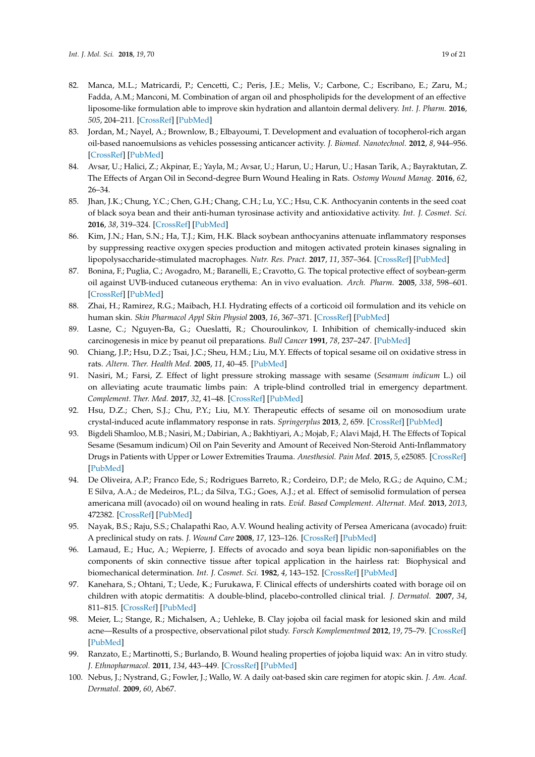- <span id="page-18-19"></span><span id="page-18-7"></span><span id="page-18-6"></span><span id="page-18-5"></span><span id="page-18-4"></span><span id="page-18-3"></span><span id="page-18-2"></span><span id="page-18-1"></span><span id="page-18-0"></span>82. Manca, M.L.; Matricardi, P.; Cencetti, C.; Peris, J.E.; Melis, V.; Carbone, C.; Escribano, E.; Zaru, M.; Fadda, A.M.; Manconi, M. Combination of argan oil and phospholipids for the development of an effective liposome-like formulation able to improve skin hydration and allantoin dermal delivery. *Int. J. Pharm.* **2016**, *505*, 204–211. [\[CrossRef\]](http://dx.doi.org/10.1016/j.ijpharm.2016.04.008) [\[PubMed\]](http://www.ncbi.nlm.nih.gov/pubmed/27063848)
- <span id="page-18-20"></span><span id="page-18-8"></span>83. Jordan, M.; Nayel, A.; Brownlow, B.; Elbayoumi, T. Development and evaluation of tocopherol-rich argan oil-based nanoemulsions as vehicles possessing anticancer activity. *J. Biomed. Nanotechnol.* **2012**, *8*, 944–956. [\[CrossRef\]](http://dx.doi.org/10.1166/jbn.2012.1460) [\[PubMed\]](http://www.ncbi.nlm.nih.gov/pubmed/23030003)
- <span id="page-18-21"></span><span id="page-18-9"></span>84. Avsar, U.; Halici, Z.; Akpinar, E.; Yayla, M.; Avsar, U.; Harun, U.; Harun, U.; Hasan Tarik, A.; Bayraktutan, Z. The Effects of Argan Oil in Second-degree Burn Wound Healing in Rats. *Ostomy Wound Manag.* **2016**, *62*, 26–34.
- <span id="page-18-22"></span><span id="page-18-11"></span><span id="page-18-10"></span>85. Jhan, J.K.; Chung, Y.C.; Chen, G.H.; Chang, C.H.; Lu, Y.C.; Hsu, C.K. Anthocyanin contents in the seed coat of black soya bean and their anti-human tyrosinase activity and antioxidative activity. *Int. J. Cosmet. Sci.* **2016**, *38*, 319–324. [\[CrossRef\]](http://dx.doi.org/10.1111/ics.12300) [\[PubMed\]](http://www.ncbi.nlm.nih.gov/pubmed/26663436)
- <span id="page-18-23"></span>86. Kim, J.N.; Han, S.N.; Ha, T.J.; Kim, H.K. Black soybean anthocyanins attenuate inflammatory responses by suppressing reactive oxygen species production and mitogen activated protein kinases signaling in lipopolysaccharide-stimulated macrophages. *Nutr. Res. Pract.* **2017**, *11*, 357–364. [\[CrossRef\]](http://dx.doi.org/10.4162/nrp.2017.11.5.357) [\[PubMed\]](http://www.ncbi.nlm.nih.gov/pubmed/28989571)
- <span id="page-18-24"></span><span id="page-18-12"></span>87. Bonina, F.; Puglia, C.; Avogadro, M.; Baranelli, E.; Cravotto, G. The topical protective effect of soybean-germ oil against UVB-induced cutaneous erythema: An in vivo evaluation. *Arch. Pharm.* **2005**, *338*, 598–601. [\[CrossRef\]](http://dx.doi.org/10.1002/ardp.200500159) [\[PubMed\]](http://www.ncbi.nlm.nih.gov/pubmed/16281310)
- <span id="page-18-13"></span>88. Zhai, H.; Ramirez, R.G.; Maibach, H.I. Hydrating effects of a corticoid oil formulation and its vehicle on human skin. *Skin Pharmacol Appl Skin Physiol* **2003**, *16*, 367–371. [\[CrossRef\]](http://dx.doi.org/10.1159/000072931) [\[PubMed\]](http://www.ncbi.nlm.nih.gov/pubmed/14528060)
- <span id="page-18-14"></span>89. Lasne, C.; Nguyen-Ba, G.; Oueslatti, R.; Chouroulinkov, I. Inhibition of chemically-induced skin carcinogenesis in mice by peanut oil preparations. *Bull Cancer* **1991**, *78*, 237–247. [\[PubMed\]](http://www.ncbi.nlm.nih.gov/pubmed/1905167)
- <span id="page-18-25"></span><span id="page-18-15"></span>90. Chiang, J.P.; Hsu, D.Z.; Tsai, J.C.; Sheu, H.M.; Liu, M.Y. Effects of topical sesame oil on oxidative stress in rats. *Altern. Ther. Health Med.* **2005**, *11*, 40–45. [\[PubMed\]](http://www.ncbi.nlm.nih.gov/pubmed/16320859)
- <span id="page-18-26"></span><span id="page-18-16"></span>91. Nasiri, M.; Farsi, Z. Effect of light pressure stroking massage with sesame (*Sesamum indicum* L.) oil on alleviating acute traumatic limbs pain: A triple-blind controlled trial in emergency department. *Complement. Ther. Med.* **2017**, *32*, 41–48. [\[CrossRef\]](http://dx.doi.org/10.1016/j.ctim.2017.03.004) [\[PubMed\]](http://www.ncbi.nlm.nih.gov/pubmed/28619303)
- <span id="page-18-27"></span>92. Hsu, D.Z.; Chen, S.J.; Chu, P.Y.; Liu, M.Y. Therapeutic effects of sesame oil on monosodium urate crystal-induced acute inflammatory response in rats. *Springerplus* **2013**, *2*, 659. [\[CrossRef\]](http://dx.doi.org/10.1186/2193-1801-2-659) [\[PubMed\]](http://www.ncbi.nlm.nih.gov/pubmed/24353977)
- <span id="page-18-18"></span><span id="page-18-17"></span>93. Bigdeli Shamloo, M.B.; Nasiri, M.; Dabirian, A.; Bakhtiyari, A.; Mojab, F.; Alavi Majd, H. The Effects of Topical Sesame (Sesamum indicum) Oil on Pain Severity and Amount of Received Non-Steroid Anti-Inflammatory Drugs in Patients with Upper or Lower Extremities Trauma. *Anesthesiol. Pain Med.* **2015**, *5*, e25085. [\[CrossRef\]](http://dx.doi.org/10.5812/aapm.25085v2) [\[PubMed\]](http://www.ncbi.nlm.nih.gov/pubmed/26161326)
- <span id="page-18-28"></span>94. De Oliveira, A.P.; Franco Ede, S.; Rodrigues Barreto, R.; Cordeiro, D.P.; de Melo, R.G.; de Aquino, C.M.; E Silva, A.A.; de Medeiros, P.L.; da Silva, T.G.; Goes, A.J.; et al. Effect of semisolid formulation of persea americana mill (avocado) oil on wound healing in rats. *Evid. Based Complement. Alternat. Med.* **2013**, *2013*, 472382. [\[CrossRef\]](http://dx.doi.org/10.1155/2013/472382) [\[PubMed\]](http://www.ncbi.nlm.nih.gov/pubmed/23573130)
- <span id="page-18-29"></span>95. Nayak, B.S.; Raju, S.S.; Chalapathi Rao, A.V. Wound healing activity of Persea Americana (avocado) fruit: A preclinical study on rats. *J. Wound Care* **2008**, *17*, 123–126. [\[CrossRef\]](http://dx.doi.org/10.12968/jowc.2008.17.3.28670) [\[PubMed\]](http://www.ncbi.nlm.nih.gov/pubmed/18376654)
- <span id="page-18-30"></span>96. Lamaud, E.; Huc, A.; Wepierre, J. Effects of avocado and soya bean lipidic non-saponifiables on the components of skin connective tissue after topical application in the hairless rat: Biophysical and biomechanical determination. *Int. J. Cosmet. Sci.* **1982**, *4*, 143–152. [\[CrossRef\]](http://dx.doi.org/10.1111/j.1467-2494.1982.tb00310.x) [\[PubMed\]](http://www.ncbi.nlm.nih.gov/pubmed/19469960)
- <span id="page-18-31"></span>97. Kanehara, S.; Ohtani, T.; Uede, K.; Furukawa, F. Clinical effects of undershirts coated with borage oil on children with atopic dermatitis: A double-blind, placebo-controlled clinical trial. *J. Dermatol.* **2007**, *34*, 811–815. [\[CrossRef\]](http://dx.doi.org/10.1111/j.1346-8138.2007.00391.x) [\[PubMed\]](http://www.ncbi.nlm.nih.gov/pubmed/18078406)
- <span id="page-18-32"></span>98. Meier, L.; Stange, R.; Michalsen, A.; Uehleke, B. Clay jojoba oil facial mask for lesioned skin and mild acne—Results of a prospective, observational pilot study. *Forsch Komplementmed* **2012**, *19*, 75–79. [\[CrossRef\]](http://dx.doi.org/10.1159/000338076) [\[PubMed\]](http://www.ncbi.nlm.nih.gov/pubmed/22585103)
- <span id="page-18-33"></span>99. Ranzato, E.; Martinotti, S.; Burlando, B. Wound healing properties of jojoba liquid wax: An in vitro study. *J. Ethnopharmacol.* **2011**, *134*, 443–449. [\[CrossRef\]](http://dx.doi.org/10.1016/j.jep.2010.12.042) [\[PubMed\]](http://www.ncbi.nlm.nih.gov/pubmed/21211559)
- <span id="page-18-34"></span>100. Nebus, J.; Nystrand, G.; Fowler, J.; Wallo, W. A daily oat-based skin care regimen for atopic skin. *J. Am. Acad. Dermatol.* **2009**, *60*, Ab67.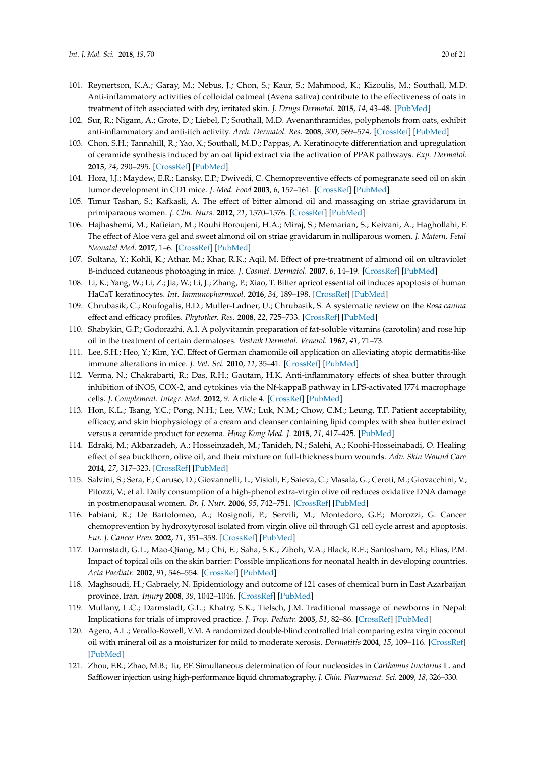- <span id="page-19-21"></span><span id="page-19-9"></span><span id="page-19-8"></span><span id="page-19-7"></span><span id="page-19-6"></span><span id="page-19-5"></span><span id="page-19-4"></span><span id="page-19-3"></span><span id="page-19-2"></span><span id="page-19-1"></span><span id="page-19-0"></span>101. Reynertson, K.A.; Garay, M.; Nebus, J.; Chon, S.; Kaur, S.; Mahmood, K.; Kizoulis, M.; Southall, M.D. Anti-inflammatory activities of colloidal oatmeal (Avena sativa) contribute to the effectiveness of oats in treatment of itch associated with dry, irritated skin. *J. Drugs Dermatol.* **2015**, *14*, 43–48. [\[PubMed\]](http://www.ncbi.nlm.nih.gov/pubmed/25607907)
- <span id="page-19-22"></span><span id="page-19-10"></span>102. Sur, R.; Nigam, A.; Grote, D.; Liebel, F.; Southall, M.D. Avenanthramides, polyphenols from oats, exhibit anti-inflammatory and anti-itch activity. *Arch. Dermatol. Res.* **2008**, *300*, 569–574. [\[CrossRef\]](http://dx.doi.org/10.1007/s00403-008-0858-x) [\[PubMed\]](http://www.ncbi.nlm.nih.gov/pubmed/18461339)
- <span id="page-19-23"></span><span id="page-19-11"></span>103. Chon, S.H.; Tannahill, R.; Yao, X.; Southall, M.D.; Pappas, A. Keratinocyte differentiation and upregulation of ceramide synthesis induced by an oat lipid extract via the activation of PPAR pathways. *Exp. Dermatol.* **2015**, *24*, 290–295. [\[CrossRef\]](http://dx.doi.org/10.1111/exd.12658) [\[PubMed\]](http://www.ncbi.nlm.nih.gov/pubmed/25651930)
- <span id="page-19-24"></span><span id="page-19-12"></span>104. Hora, J.J.; Maydew, E.R.; Lansky, E.P.; Dwivedi, C. Chemopreventive effects of pomegranate seed oil on skin tumor development in CD1 mice. *J. Med. Food* **2003**, *6*, 157–161. [\[CrossRef\]](http://dx.doi.org/10.1089/10966200360716553) [\[PubMed\]](http://www.ncbi.nlm.nih.gov/pubmed/14585180)
- <span id="page-19-25"></span>105. Timur Tashan, S.; Kafkasli, A. The effect of bitter almond oil and massaging on striae gravidarum in primiparaous women. *J. Clin. Nurs.* **2012**, *21*, 1570–1576. [\[CrossRef\]](http://dx.doi.org/10.1111/j.1365-2702.2012.04087.x) [\[PubMed\]](http://www.ncbi.nlm.nih.gov/pubmed/22594386)
- <span id="page-19-26"></span>106. Hajhashemi, M.; Rafieian, M.; Rouhi Boroujeni, H.A.; Miraj, S.; Memarian, S.; Keivani, A.; Haghollahi, F. The effect of Aloe vera gel and sweet almond oil on striae gravidarum in nulliparous women. *J. Matern. Fetal Neonatal Med.* **2017**, 1–6. [\[CrossRef\]](http://dx.doi.org/10.1080/14767058.2017.1325865) [\[PubMed\]](http://www.ncbi.nlm.nih.gov/pubmed/28521546)
- <span id="page-19-27"></span>107. Sultana, Y.; Kohli, K.; Athar, M.; Khar, R.K.; Aqil, M. Effect of pre-treatment of almond oil on ultraviolet B-induced cutaneous photoaging in mice. *J. Cosmet. Dermatol.* **2007**, *6*, 14–19. [\[CrossRef\]](http://dx.doi.org/10.1111/j.1473-2165.2007.00293.x) [\[PubMed\]](http://www.ncbi.nlm.nih.gov/pubmed/17348990)
- <span id="page-19-28"></span>108. Li, K.; Yang, W.; Li, Z.; Jia, W.; Li, J.; Zhang, P.; Xiao, T. Bitter apricot essential oil induces apoptosis of human HaCaT keratinocytes. *Int. Immunopharmacol.* **2016**, *34*, 189–198. [\[CrossRef\]](http://dx.doi.org/10.1016/j.intimp.2016.02.019) [\[PubMed\]](http://www.ncbi.nlm.nih.gov/pubmed/26971222)
- <span id="page-19-29"></span>109. Chrubasik, C.; Roufogalis, B.D.; Muller-Ladner, U.; Chrubasik, S. A systematic review on the *Rosa canina* effect and efficacy profiles. *Phytother. Res.* **2008**, *22*, 725–733. [\[CrossRef\]](http://dx.doi.org/10.1002/ptr.2400) [\[PubMed\]](http://www.ncbi.nlm.nih.gov/pubmed/18384191)
- <span id="page-19-30"></span>110. Shabykin, G.P.; Godorazhi, A.I. A polyvitamin preparation of fat-soluble vitamins (carotolin) and rose hip oil in the treatment of certain dermatoses. *Vestnik Dermatol. Venerol.* **1967**, *41*, 71–73.
- <span id="page-19-31"></span>111. Lee, S.H.; Heo, Y.; Kim, Y.C. Effect of German chamomile oil application on alleviating atopic dermatitis-like immune alterations in mice. *J. Vet. Sci.* **2010**, *11*, 35–41. [\[CrossRef\]](http://dx.doi.org/10.4142/jvs.2010.11.1.35) [\[PubMed\]](http://www.ncbi.nlm.nih.gov/pubmed/20195063)
- <span id="page-19-32"></span>112. Verma, N.; Chakrabarti, R.; Das, R.H.; Gautam, H.K. Anti-inflammatory effects of shea butter through inhibition of iNOS, COX-2, and cytokines via the Nf-kappaB pathway in LPS-activated J774 macrophage cells. *J. Complement. Integr. Med.* **2012**, *9*. Article 4. [\[CrossRef\]](http://dx.doi.org/10.1515/1553-3840.1574) [\[PubMed\]](http://www.ncbi.nlm.nih.gov/pubmed/22499721)
- <span id="page-19-33"></span>113. Hon, K.L.; Tsang, Y.C.; Pong, N.H.; Lee, V.W.; Luk, N.M.; Chow, C.M.; Leung, T.F. Patient acceptability, efficacy, and skin biophysiology of a cream and cleanser containing lipid complex with shea butter extract versus a ceramide product for eczema. *Hong Kong Med. J.* **2015**, *21*, 417–425. [\[PubMed\]](http://www.ncbi.nlm.nih.gov/pubmed/26314567)
- <span id="page-19-13"></span>114. Edraki, M.; Akbarzadeh, A.; Hosseinzadeh, M.; Tanideh, N.; Salehi, A.; Koohi-Hosseinabadi, O. Healing effect of sea buckthorn, olive oil, and their mixture on full-thickness burn wounds. *Adv. Skin Wound Care* **2014**, *27*, 317–323. [\[CrossRef\]](http://dx.doi.org/10.1097/01.ASW.0000451061.85540.f9) [\[PubMed\]](http://www.ncbi.nlm.nih.gov/pubmed/24932952)
- <span id="page-19-14"></span>115. Salvini, S.; Sera, F.; Caruso, D.; Giovannelli, L.; Visioli, F.; Saieva, C.; Masala, G.; Ceroti, M.; Giovacchini, V.; Pitozzi, V.; et al. Daily consumption of a high-phenol extra-virgin olive oil reduces oxidative DNA damage in postmenopausal women. *Br. J. Nutr.* **2006**, *95*, 742–751. [\[CrossRef\]](http://dx.doi.org/10.1079/BJN20051674) [\[PubMed\]](http://www.ncbi.nlm.nih.gov/pubmed/16571154)
- <span id="page-19-15"></span>116. Fabiani, R.; De Bartolomeo, A.; Rosignoli, P.; Servili, M.; Montedoro, G.F.; Morozzi, G. Cancer chemoprevention by hydroxytyrosol isolated from virgin olive oil through G1 cell cycle arrest and apoptosis. *Eur. J. Cancer Prev.* **2002**, *11*, 351–358. [\[CrossRef\]](http://dx.doi.org/10.1097/00008469-200208000-00006) [\[PubMed\]](http://www.ncbi.nlm.nih.gov/pubmed/12195161)
- <span id="page-19-16"></span>117. Darmstadt, G.L.; Mao-Qiang, M.; Chi, E.; Saha, S.K.; Ziboh, V.A.; Black, R.E.; Santosham, M.; Elias, P.M. Impact of topical oils on the skin barrier: Possible implications for neonatal health in developing countries. *Acta Paediatr.* **2002**, *91*, 546–554. [\[CrossRef\]](http://dx.doi.org/10.1111/j.1651-2227.2002.tb03275.x) [\[PubMed\]](http://www.ncbi.nlm.nih.gov/pubmed/12113324)
- <span id="page-19-17"></span>118. Maghsoudi, H.; Gabraely, N. Epidemiology and outcome of 121 cases of chemical burn in East Azarbaijan province, Iran. *Injury* **2008**, *39*, 1042–1046. [\[CrossRef\]](http://dx.doi.org/10.1016/j.injury.2008.03.019) [\[PubMed\]](http://www.ncbi.nlm.nih.gov/pubmed/18656194)
- <span id="page-19-18"></span>119. Mullany, L.C.; Darmstadt, G.L.; Khatry, S.K.; Tielsch, J.M. Traditional massage of newborns in Nepal: Implications for trials of improved practice. *J. Trop. Pediatr.* **2005**, *51*, 82–86. [\[CrossRef\]](http://dx.doi.org/10.1093/tropej/fmh083) [\[PubMed\]](http://www.ncbi.nlm.nih.gov/pubmed/15677372)
- <span id="page-19-19"></span>120. Agero, A.L.; Verallo-Rowell, V.M. A randomized double-blind controlled trial comparing extra virgin coconut oil with mineral oil as a moisturizer for mild to moderate xerosis. *Dermatitis* **2004**, *15*, 109–116. [\[CrossRef\]](http://dx.doi.org/10.2310/6620.2004.04006) [\[PubMed\]](http://www.ncbi.nlm.nih.gov/pubmed/15724344)
- <span id="page-19-20"></span>121. Zhou, F.R.; Zhao, M.B.; Tu, P.F. Simultaneous determination of four nucleosides in *Carthamus tinctorius* L. and Safflower injection using high-performance liquid chromatography. *J. Chin. Pharmaceut. Sci.* **2009**, *18*, 326–330.